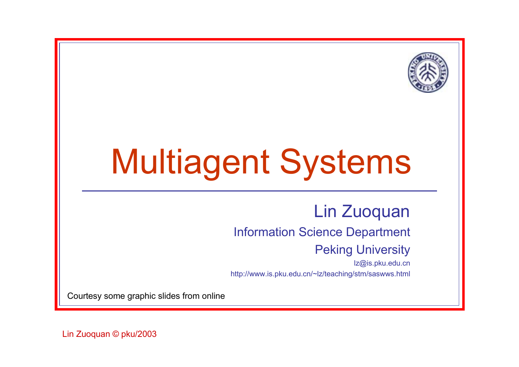

# Multiagent Systems

#### Lin Zuoquan

#### Information Science Department

#### Peking University

lz@is.pku.edu.cn http://www.is.pku.edu.cn/~lz/teaching/stm/saswws.html

Courtesy some graphic slides from online

Lin Zuoquan © pku/2003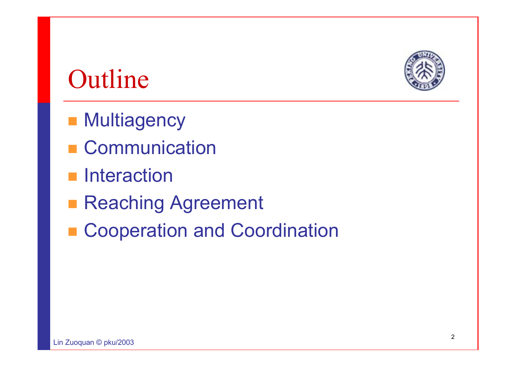

### **Outline**

- **Multiagency**
- Communication
- **n** Interaction
- **Reaching Agreement**
- Cooperation and Coordination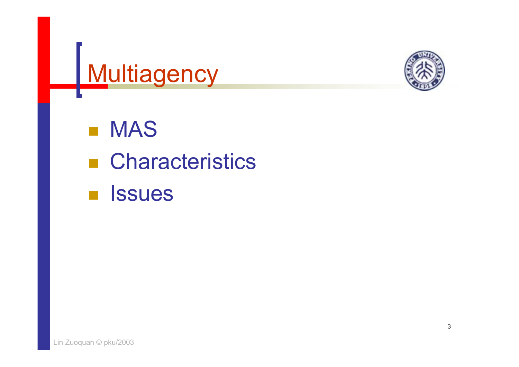



 $\overline{\mathcal{L}}$  MAS ■ Characteristics  $\mathcal{L}_{\mathcal{A}}$ **Issues**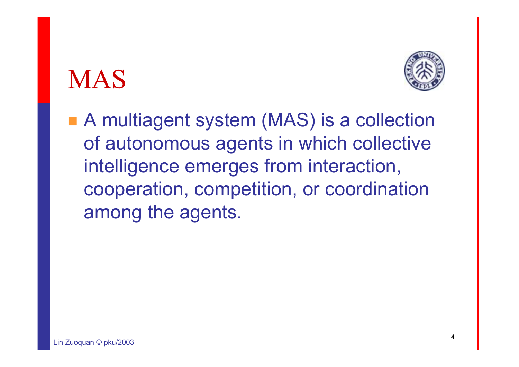### MAS



■ A multiagent system (MAS) is a collection of autonomous agents in which collective intelligence emerges from interaction, cooperation, competition, or coordination among the agents.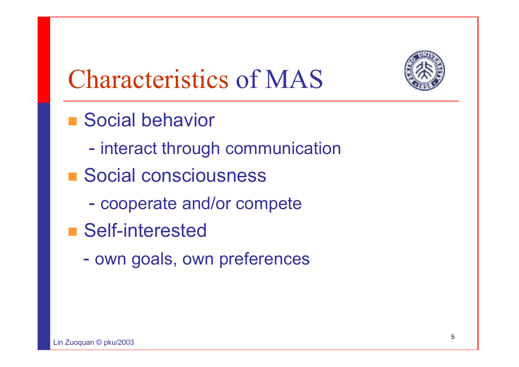

## Characteristics of MAS

- Social behavior
	- -- interact through communication
- Social consciousness
	- cooperate and/or compete
- Self-interested
	- $\mathcal{L}_{\mathcal{A}}$ - own goals, own preferences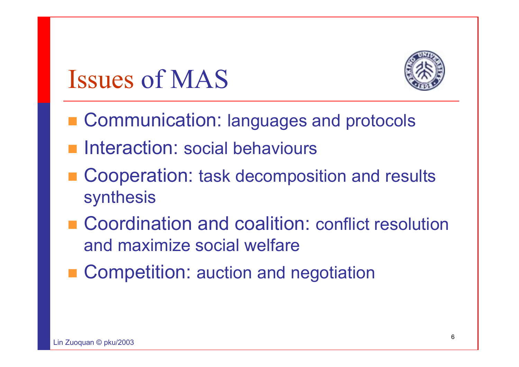### Issues of MAS



- **E Communication: languages and protocols**
- **Interaction: social behaviours**
- Cooperation: task decomposition and results synthesis
- Coordination and coalition: conflict resolution and maximize social welfare
- Competition: auction and negotiation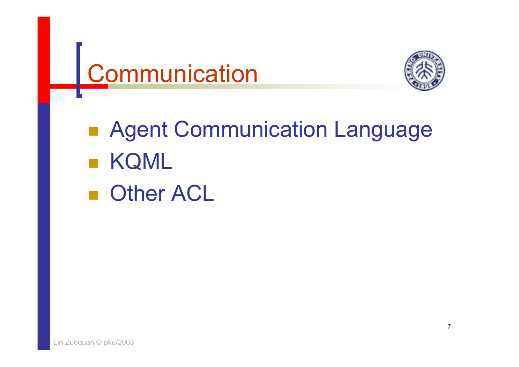



pang<br>Pang **Read Communication Language** pang<br>Pang KQML **Detail Other ACL**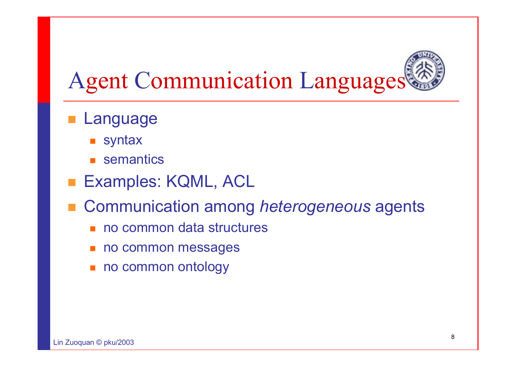

- **Language** 
	- $\blacksquare$  syntax
	- **E** semantics
- **Examples: KQML, ACL**
- Communication among *heterogeneous* agents
	- П no common data structures
	- П no common messages
	- П no common ontology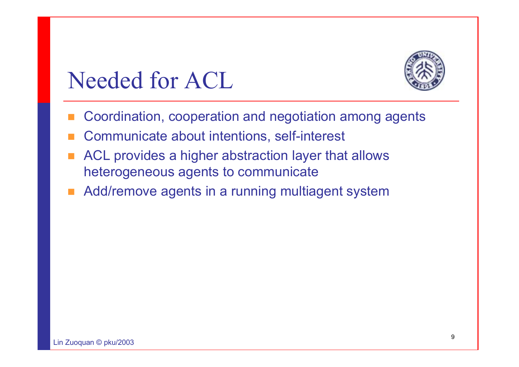

### Needed for ACL

- Coordination, cooperation and negotiation among agents
- E Communicate about intentions, self-interest
- ACL provides a higher abstraction layer that allows heterogeneous agents to communicate
- Add/remove agents in a running multiagent system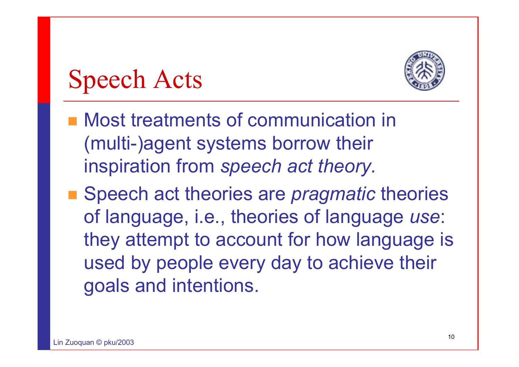

## Speech Acts

- Most treatments of communication in (multi-)agent systems borrow their inspiration from *speech act theory.*
- Speech act theories are *pragmatic* theories of language, i.e., theories of language *use*: they attempt to account for how language is used by people every day to achieve their goals and intentions.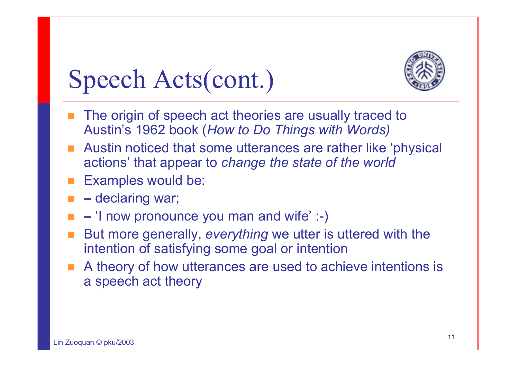

## Speech Acts(cont.)

- **The origin of speech act theories are usually traced to** Austin's 1962 book (*How to Do Things with Words)*
- Austin noticed that some utterances are rather like 'physical actions' that appear to *change the state of the world*
- Examples would be:
- **–** declaring war;
- **–** 'I now pronounce you man and wife' :-)
- But more generally, *everything* we utter is uttered with the intention of satisfying some goal or intention
- A theory of how utterances are used to achieve intentions is a speech act theory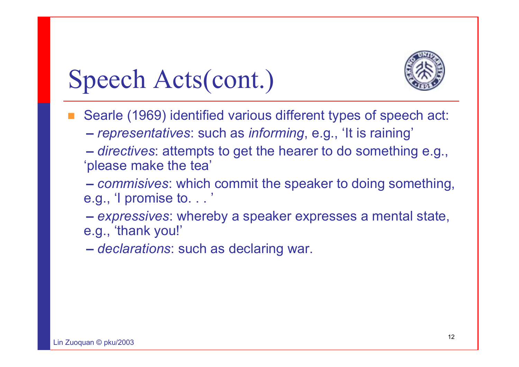

### Speech Acts(cont.)

- П Searle (1969) identified various different types of speech act:
	- **–***representatives*: such as *informing*, e.g., 'It is raining'
	- **–** *directives*: attempts to get the hearer to do something e.g., 'please make the tea'
	- **–** *commisives*: which commit the speaker to doing something, e.g., 'I promise to. . . '
	- **–** *expressives*: whereby a speaker expresses a mental state, e.g., 'thank you!'
	- **–***declarations*: such as declaring war.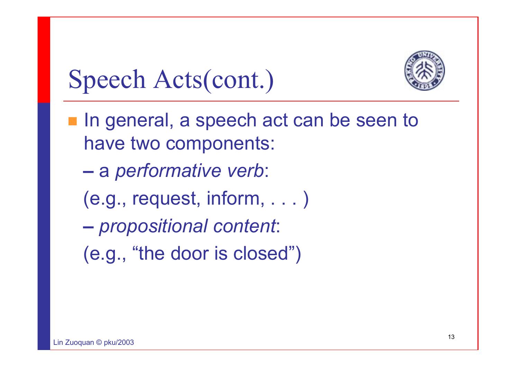

Speech Acts(cont.)

- In general, a speech act can be seen to have two components:
	- **–**<sup>a</sup>*performative verb*:
	- (e.g., request, inform, . . . )
	- *propositional content*:
	- (e.g., "the door is closed")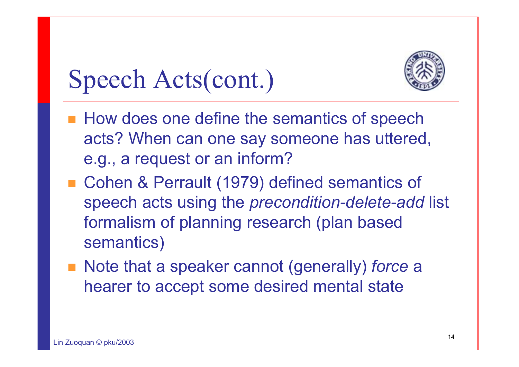

## Speech Acts(cont.)

- **How does one define the semantics of speech** acts? When can one say someone has uttered, e.g., a request or an inform?
- Cohen & Perrault (1979) defined semantics of speech acts using the *precondition-delete-add* list formalism of planning research (plan based semantics)
- Note that a speaker cannot (generally) *force* a hearer to accept some desired mental state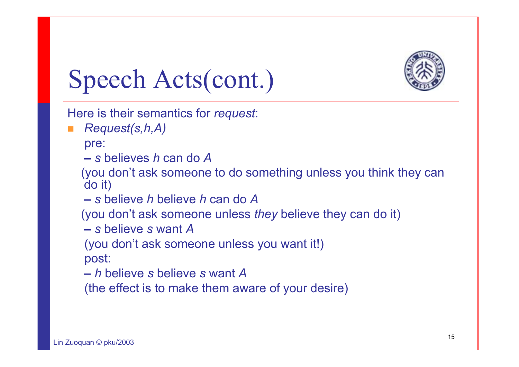

Speech Acts(cont.)

Here is their semantics for *request*:

F. *Request(s,h,A)*

pre:

**–** *s* believes *h* can do *A*

(you don't ask someone to do something unless you think they can do it)

**–** *s* believe *h* believe *h* can do *A*

(you don't ask someone unless *they* believe they can do it)

**–** *s* believe *s* want *A*

(you don't ask someone unless you want it!)

post:

**–** *h* believe *s* believe *s* want *A*

(the effect is to make them aware of your desire)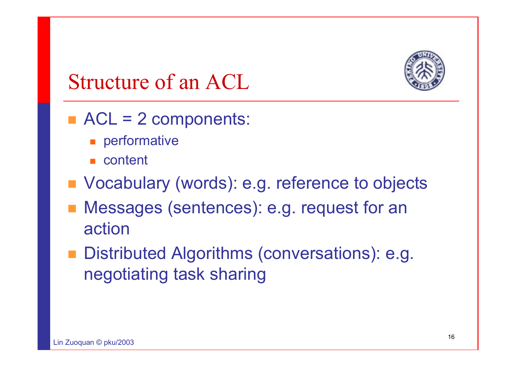

### Structure of an ACL

- $\blacksquare$  ACL = 2 components:
	- **n** performative
	- content
- Vocabulary (words): e.g. reference to objects
- Messages (sentences): e.g. request for an action
- Distributed Algorithms (conversations): e.g. negotiating task sharing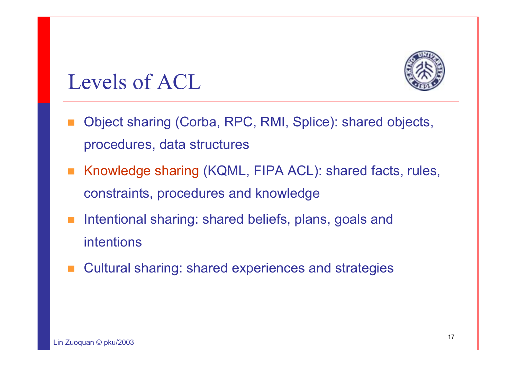

### Levels of ACL

- Object sharing (Corba, RPC, RMI, Splice): shared objects, procedures, data structures
- Knowledge sharing (KQML, FIPA ACL): shared facts, rules, constraints, procedures and knowledge
- П Intentional sharing: shared beliefs, plans, goals and intentions
- Cultural sharing: shared experiences and strategies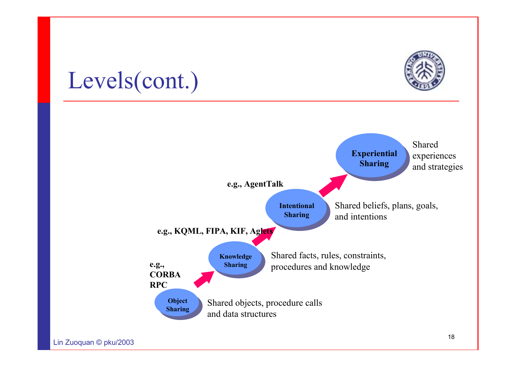

### Levels(cont.)

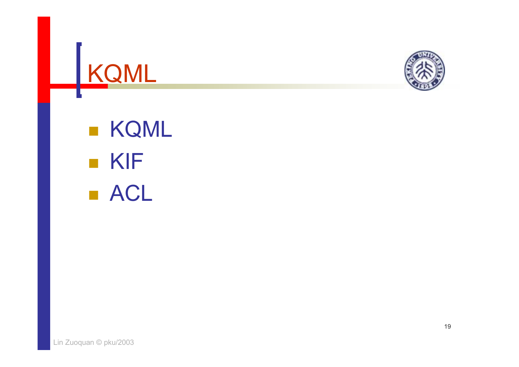



**E** KQML KIF ■ ACL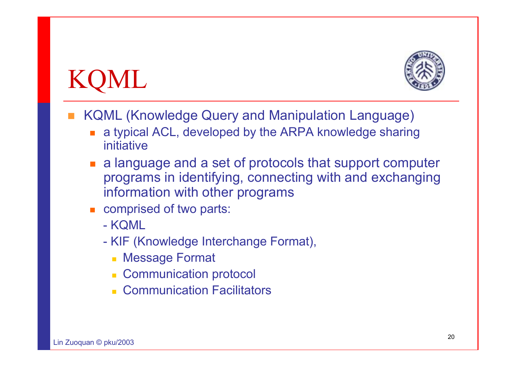## KQML



- П KQML (Knowledge Query and Manipulation Language)
	- a typical ACL, developed by the ARPA knowledge sharing initiative
	- a language and a set of protocols that support computer programs in identifying, connecting with and exchanging information with other programs
	- **Example comprised of two parts:** 
		- KQML
		- KIF (Knowledge Interchange Format),
			- Message Format
			- **EXCOMMUNICATION protocol**
			- Communication Facilitators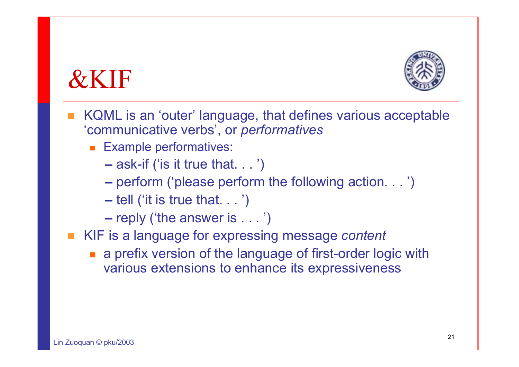### &KIF



- KQML is an 'outer' language, that defines various acceptable 'communicative verbs', or *performatives*
	- **Example performatives:** 
		- **–**– ask-if ('is it true that. . . ')
		- **–**perform ('please perform the following action. . . ')
		- **–** $-$  tell ('it is true that.  $\ldots$  ')
		- **–**– reply ('the answer is  $\ldots\;$ ')
- KIF is a language for expressing message *content*
	- **a** a prefix version of the language of first-order logic with various extensions to enhance its expressiveness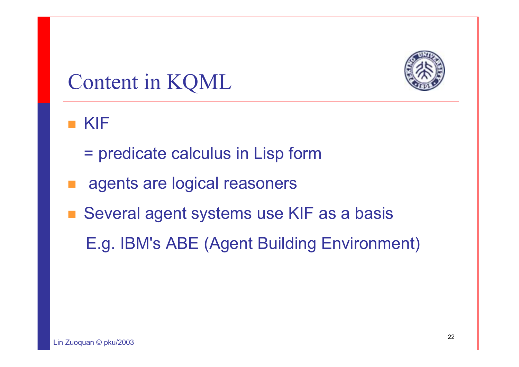

### Content in KQML

#### KIF

- = predicate calculus in Lisp form
- agents are logical reasoners
- Several agent systems use KIF as a basis
	- E.g. IBM's ABE (Agent Building Environment)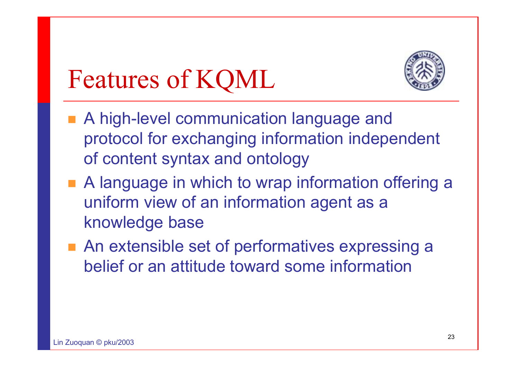## Features of KQML



- A high-level communication language and protocol for exchanging information independent of content syntax and ontology
- A language in which to wrap information offering a uniform view of an information agent as a knowledge base
- An extensible set of performatives expressing a belief or an attitude toward some information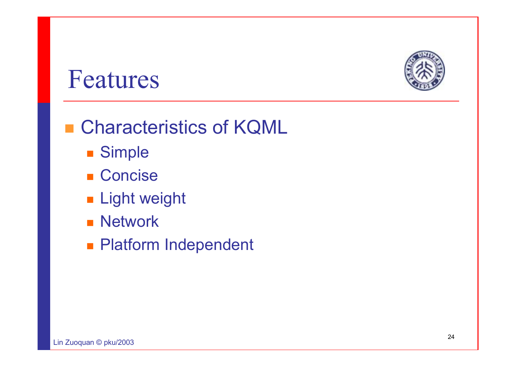

### Features

#### ■ Characteristics of KQML

- Simple
- Concise
- **Light weight**
- **Network**
- **Platform Independent**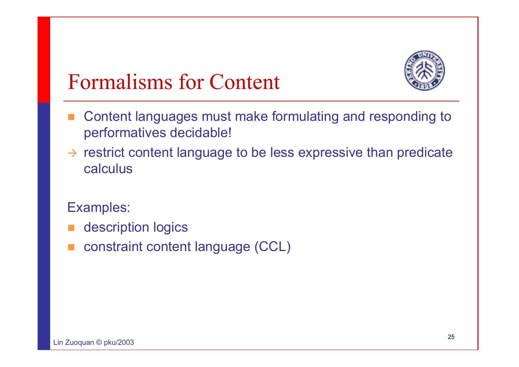

### Formalisms for Content

- Content languages must make formulating and responding to performatives decidable!
- $\rightarrow$  restrict content language to be less expressive than predicate calculus
- Examples:
- П description logics
- constraint content language (CCL)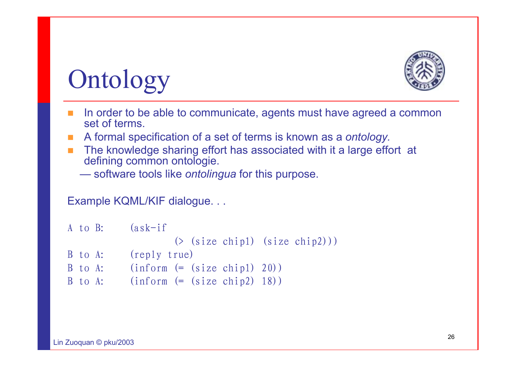

## **Ontology**

- **COL**  In order to be able to communicate, agents must have agreed a common set of terms.
- A formal specification of a set of terms is known as a *ontology.*
- The knowledge sharing effort has associated with it a large effort at defining common ontologie.
	- software tools like *ontolingua* for this purpose.

Example KQML/KIF dialogue. . .

|         | $A$ to $B$ : $(ask-if)$        |  |  |                                    |
|---------|--------------------------------|--|--|------------------------------------|
|         |                                |  |  | $(\geq$ (size chip1) (size chip2)) |
| B to A: | (reply true)                   |  |  |                                    |
| B to A: | $(inform (= (size chip1) 20))$ |  |  |                                    |
| B to A: | $(inform (= (size chip2) 18))$ |  |  |                                    |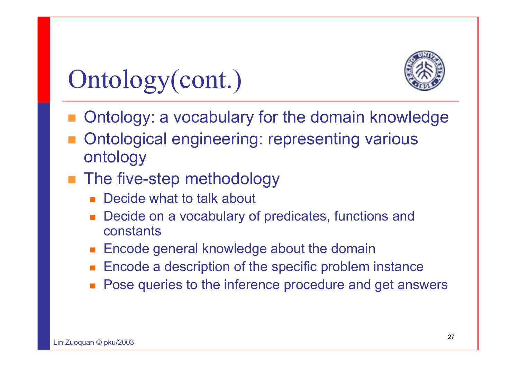

## Ontology(cont.)

- **n** Ontology: a vocabulary for the domain knowledge
- Ontological engineering: representing various ontology
- The five-step methodology
	- П Decide what to talk about
	- П Decide on a vocabulary of predicates, functions and constants
	- Encode general knowledge about the domain
	- П Encode a description of the specific problem instance
	- П Pose queries to the inference procedure and get answers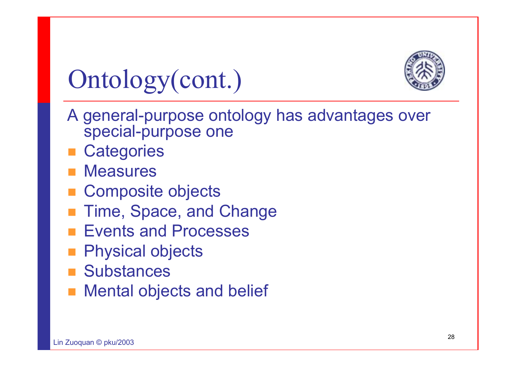

## Ontology(cont.)

- A general-purpose ontology has advantages over special-purpose one
- **Categories**
- **Measures**
- **Composite objects**
- Time, Space, and Change
- Events and Processes
- Physical objects
- **Substances**
- Mental objects and belief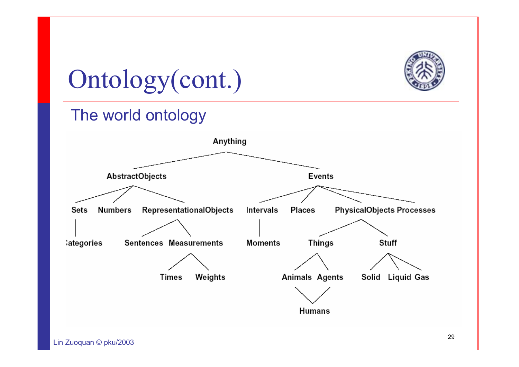

## Ontology(cont.)

#### The world ontology

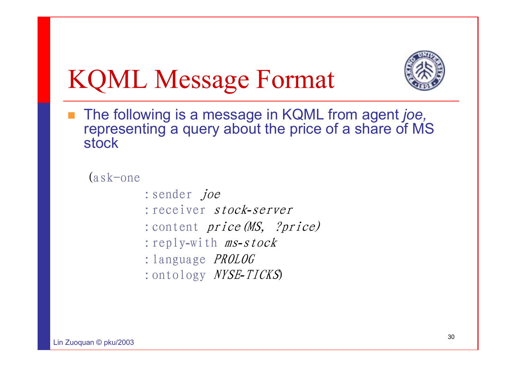

## KQML Message Format

■ The following is a message in KQML from agent *joe*, representing a query about the price of a share of MS stock

(ask-one

- : sender *joe*
- :receiver stock*-*server
- : content *price (MS, ?price)*
- :reply-with ms*-*stock
- :language PROLOG
- :ontology NYSE*-*TICKS)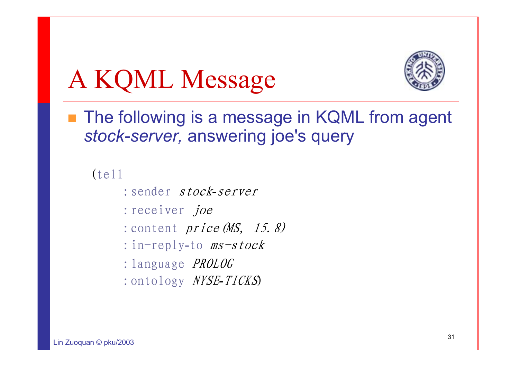## A KQML Message



■ The following is a message in KQML from agent *stock-server,* answering joe's query

(tell

- :sender stock*-*server
- :receiver joe
- :content *price (MS, 15.8)*
- :in-reply-to ms-stock
- :language PROLOG
- :ontology NYSE*-*TICKS)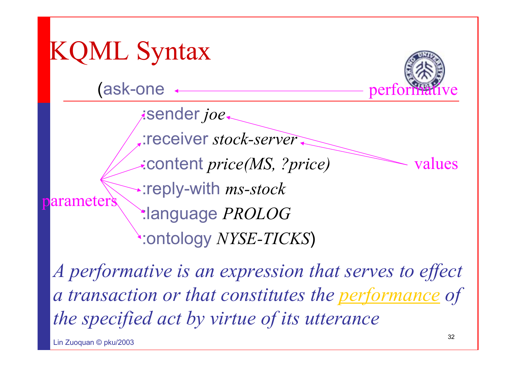

*A performative is an expression that serves to effect a transaction or that constitutes the performance of the specified act by virtue of its utterance*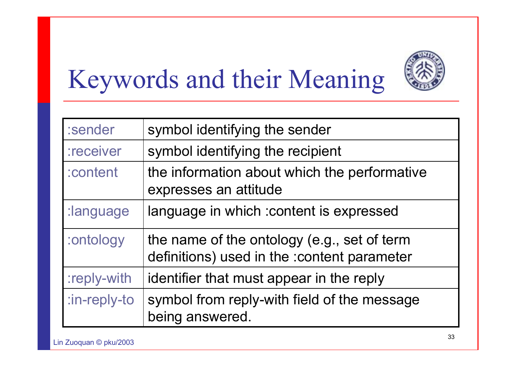

## Keywords and their Meaning

| :sender      | symbol identifying the sender                                                              |
|--------------|--------------------------------------------------------------------------------------------|
| :receiver    | symbol identifying the recipient                                                           |
| :content     | the information about which the performative<br>expresses an attitude                      |
| :language    | language in which : content is expressed                                                   |
| :ontology    | the name of the ontology (e.g., set of term<br>definitions) used in the :content parameter |
| :reply-with  | identifier that must appear in the reply                                                   |
| :in-reply-to | symbol from reply-with field of the message<br>being answered.                             |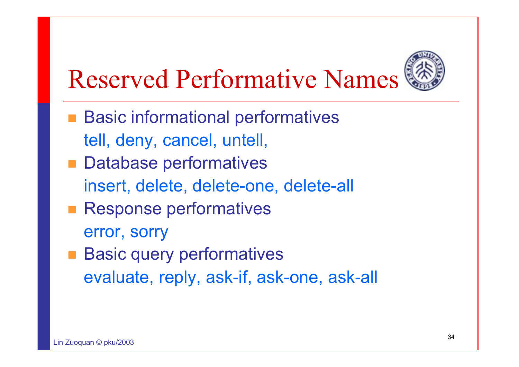

## Reserved Performative Names

- **Basic informational performatives** tell, deny, cancel, untell,
- **Database performatives** insert, delete, delete-one, delete-all
- **Response performatives** error, sorry
- **Basic query performatives** evaluate, reply, ask-if, ask-one, ask-all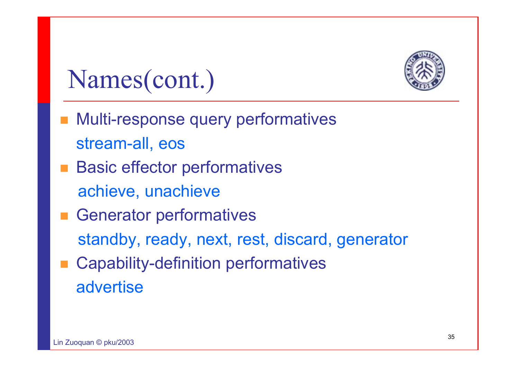

### Names(cont.)

- **Nulti-response query performatives** stream-all, eos
- **Basic effector performatives** achieve, unachieve
- **Exercise Generator performatives** standby, ready, next, rest, discard, generator Capability-definition performatives
	- advertise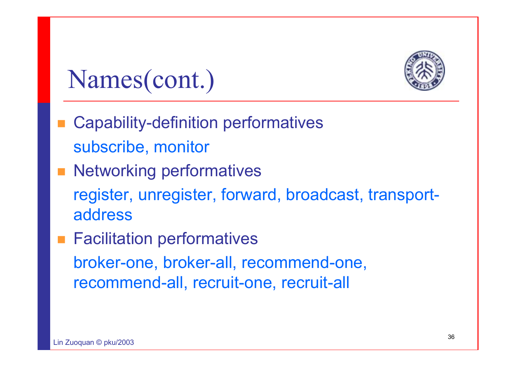

### Names(cont.)

- **Service Service**  Capability-definition performatives subscribe, monitor
- **Networking performatives** register, unregister, forward, broadcast, transportaddress
- Facilitation performatives broker-one, broker-all, recommend-one, recommend-all, recruit-one, recruit-all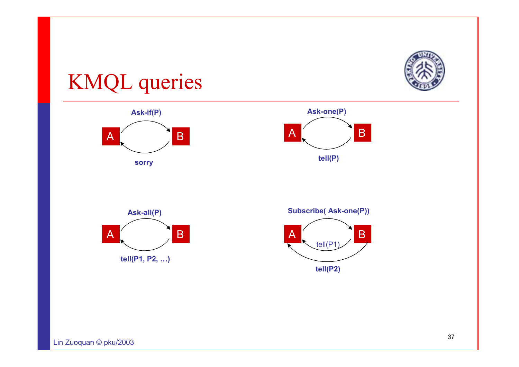

### KMQL queries







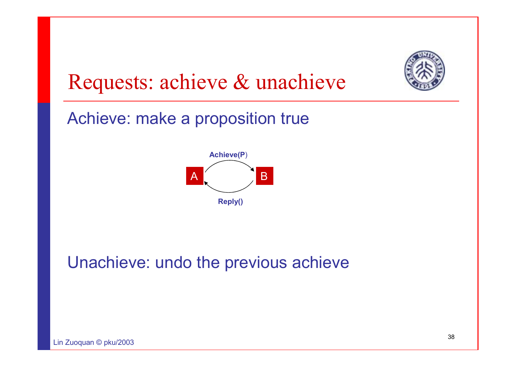

### Requests: achieve & unachieve

Achieve: make a proposition true



### Unachieve: undo the previous achieve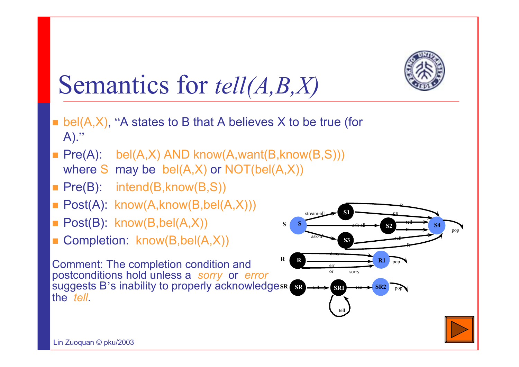

## Semantics for *tell(A,B,X)*

- $\blacksquare$  bel(A,X), "A states to B that A believes X to be true (for  $A)$ ."
- Pre(A): bel(A,X) AND know(A,want(B,know(B,S))) where S may be bel(A,X) or NOT(bel(A,X))
- Pre(B): intend(B,know(B,S))
- Post(A): know(A,know(B,bel(A,X)))
- Post(B): know(B,bel(A,X))
- Completion: know(B,bel(A,X))

Comment: The completion condition and postconditions hold unless a *sorry* or *error* suggests B's inability to properly acknowledgesR sR the *tell*.

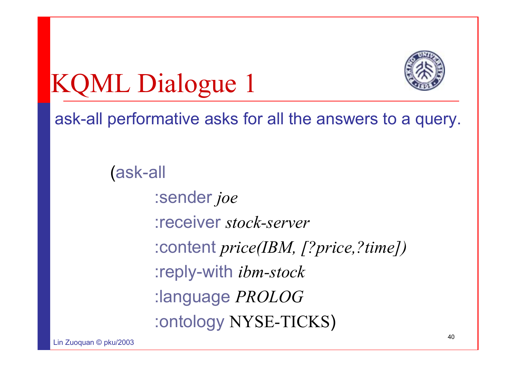



ask-all performative asks for all the answers to a query.

(ask-all :sender *joe* :receiver *stock-server*:content *price(IBM, [?price,?time])* :reply-with *ibm-stock* :language *PROLOG* :ontology NYSE-TICKS)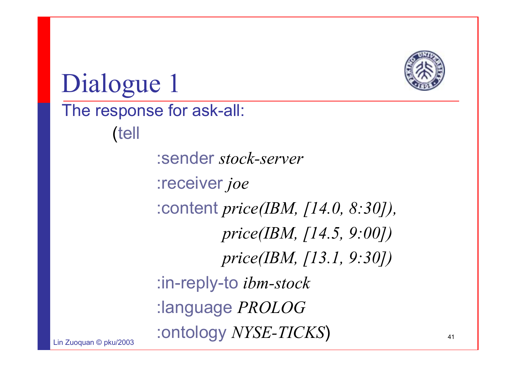

Dialogue 1

#### The response for ask-all:

(tell

:sender *stock-server*:receiver *joe* :content *price(IBM, [14.0, 8:30]), price(IBM, [14.5, 9:00]) price(IBM, [13.1, 9:30])* :in-reply-to *ibm-stock* :language *PROLOG* :ontology *NYSE-TICKS*)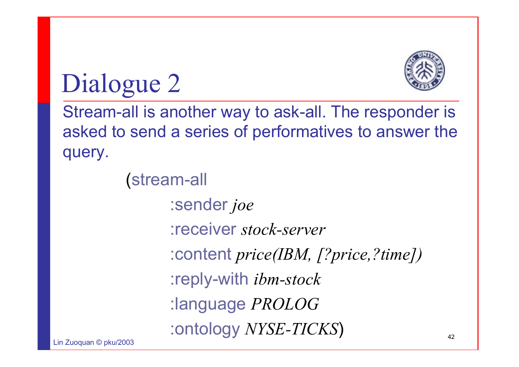

Dialogue 2

Stream-all is another way to ask-all. The responder is asked to send a series of performatives to answer the query.

> (stream-all :sender *joe* :receiver *stock-server*:content *price(IBM, [?price,?time])* :reply-with *ibm-stock* :language *PROLOG* :ontology *NYSE-TICKS*)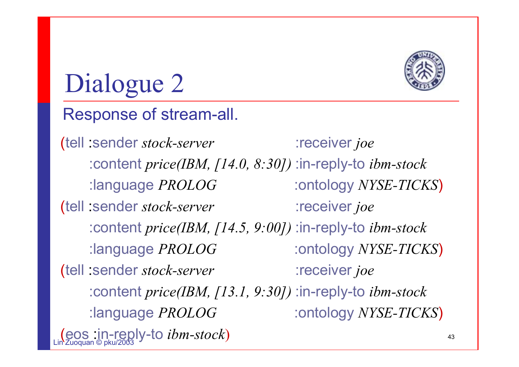

# Dialogue 2

- Response of stream-all.
- <u>(eos in-reply-to *ibm-stock*)</u> (tell :sender *stock-server* :receiver *joe* :content *price(IBM, [14.0, 8:30])* :in-reply-to *ibm-stock* :language *PROLOG* :ontology *NYSE-TICKS*) (tell :sender *stock-server* :receiver *joe* :content *price(IBM, [14.5, 9:00])* :in-reply-to *ibm-stock* :language *PROLOG* :ontology *NYSE-TICKS*) (tell :sender *stock-server* :receiver *joe* :content *price(IBM, [13.1, 9:30])* :in-reply-to *ibm-stock* :language *PROLOG* :ontology *NYSE-TICKS*)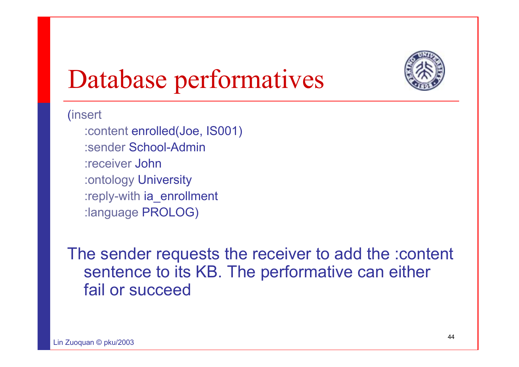

# Database performatives

(insert

:content enrolled(Joe, IS001) :sender School-Admin:receiver John:ontology University :reply-with ia\_enrollment :language PROLOG)

The sender requests the receiver to add the :content sentence to its KB. The performative can either fail or succeed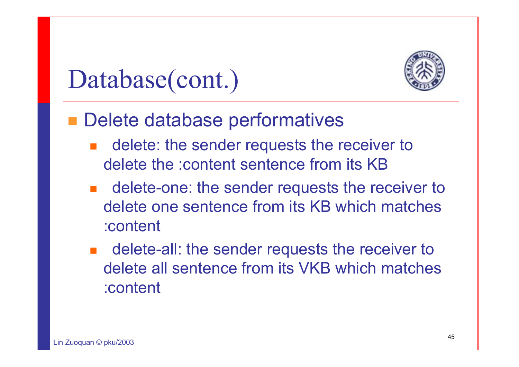

## Database(cont.)

### Delete database performatives

- delete: the sender requests the receiver to delete the :content sentence from its KB
- H delete-one: the sender requests the receiver to delete one sentence from its KB which matches :content
- delete-all: the sender requests the receiver to delete all sentence from its VKB which matches :content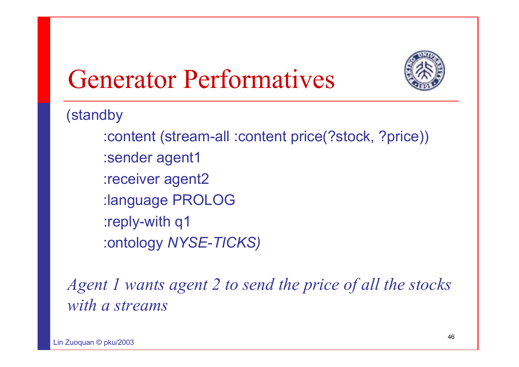

# Generator Performatives

(standby

:content (stream-all :content price(?stock, ?price)) :sender agent1 :receiver agent2 :language PROLOG :reply-with q1 :ontology *NYSE-TICKS)*

*Agent 1 wants agent 2 to send the price of all the stocks with a streams*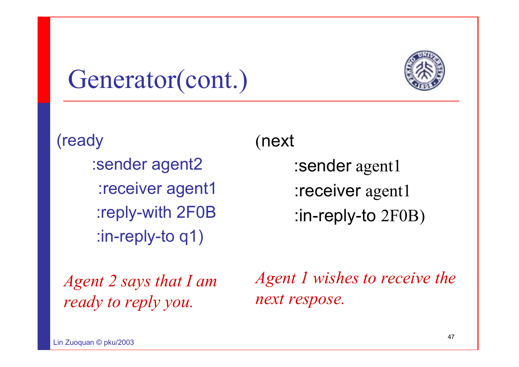

# Generator(cont.)

(ready :sender agent2 :receiver agent1 :reply-with 2F0B :in-reply-to q1)

(next

:sender agent1 :receiver agent1 :in-reply-to 2F0B)

*Agent 2 says that I am ready to reply you.*

*Agent 1 wishes to receive the next respose.*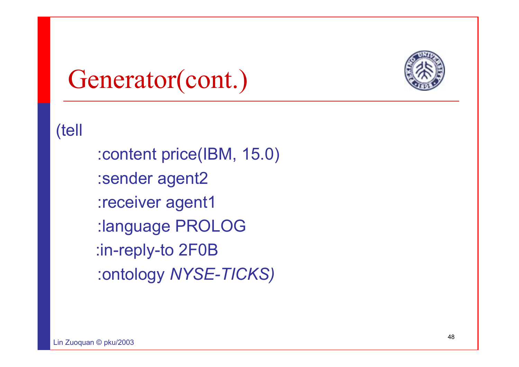

## Generator(cont.)

(tell

:content price(IBM, 15.0) :sender agent2 :receiver agent1 :language PROLOG :in-reply-to 2F0B :ontology *NYSE-TICKS)*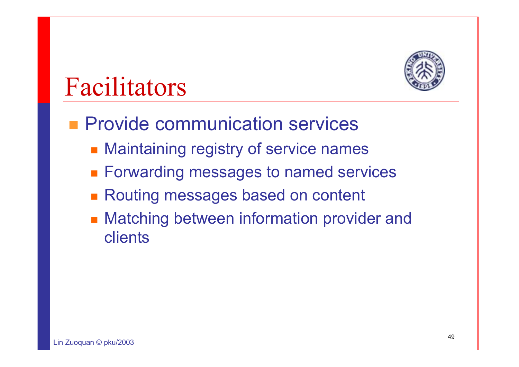

# Facilitators

- **Provide communication services** 
	- **Maintaining registry of service names**
	- Forwarding messages to named services
	- Routing messages based on content
	- **Matching between information provider and** clients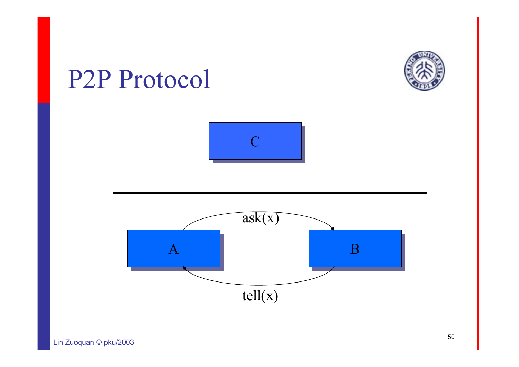

### P2P Protocol

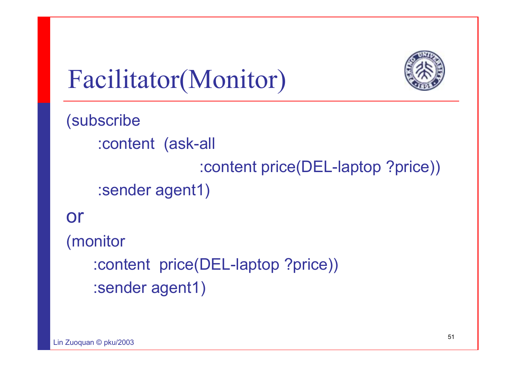

Facilitator(Monitor)

```
(subscribe
    :content (ask-all 
                   :content price(DEL-laptop ?price)) 
    :sender agent1) 
or 
(monitor
   :content price(DEL-laptop ?price)) 
   :sender agent1)
```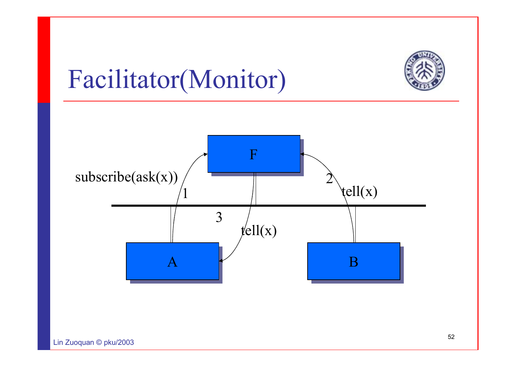

# Facilitator(Monitor)

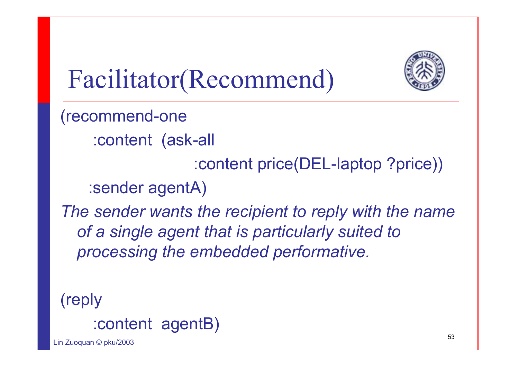

# Facilitator(Recommend)

(recommend-one

:content (ask-all

:content price(DEL-laptop ?price))

:sender agentA)

The sender wants the recipient to reply with the name *of a single agent that is particularly suited to processing the embedded performative.*

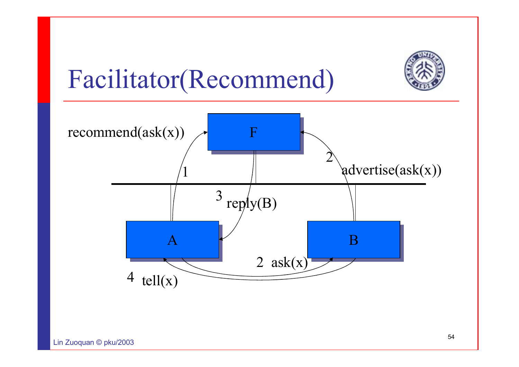

# Facilitator(Recommend)

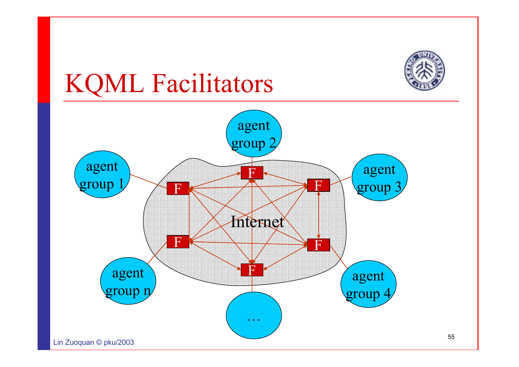

# KQML Facilitators

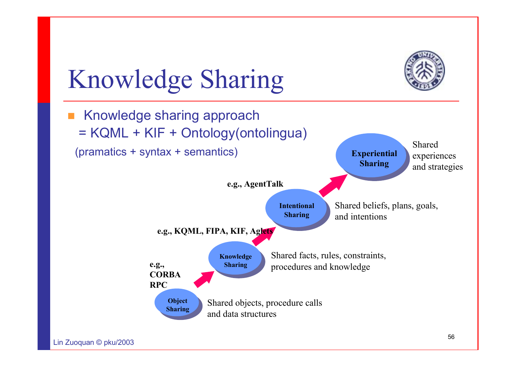

# Knowledge Sharing

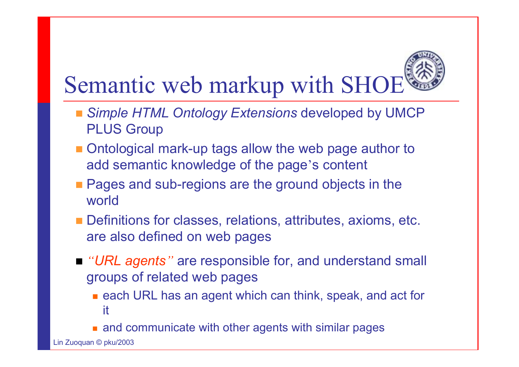# Semantic web markup with SHOE

- *Simple HTML Ontology Extensions* developed by UMCP PLUS Group
- Ontological mark-up tags allow the web page author to add semantic knowledge of the page's content
- **Pages and sub-regions are the ground objects in the** world
- **Definitions for classes, relations, attributes, axioms, etc.** are also defined on web pages
- *"URL agents"* are responsible for, and understand small groups of related web pages
	- each URL has an agent which can think, speak, and act for it
	- and communicate with other agents with similar pages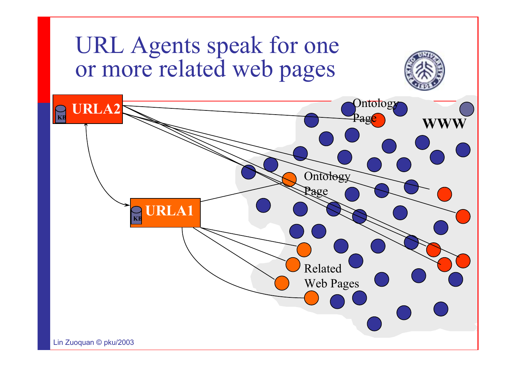### URL Agents speak for one or more related web pages

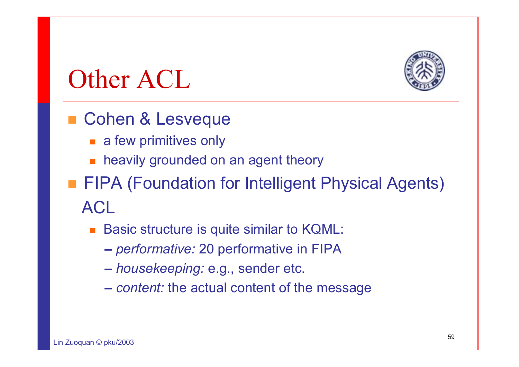

## Other ACL

### ■ Cohen & Lesveque

- a few primitives only
- heavily grounded on an agent theory
- **FIPA (Foundation for Intelligent Physical Agents)** ACL
	- Basic structure is quite similar to KQML:
		- **–***performative:* 20 performative in FIPA
		- **–***housekeeping:* e.g., sender etc.
		- **–***content:* the actual content of the message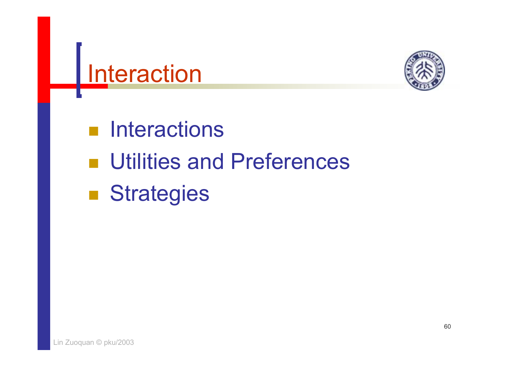



- **n** Interactions
- **under** Utilities and Preferences
- i<br>List **E** Strategies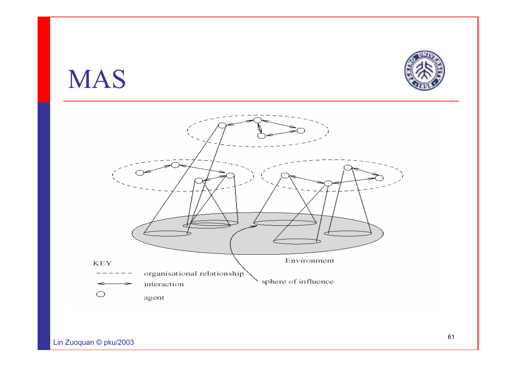### MAS



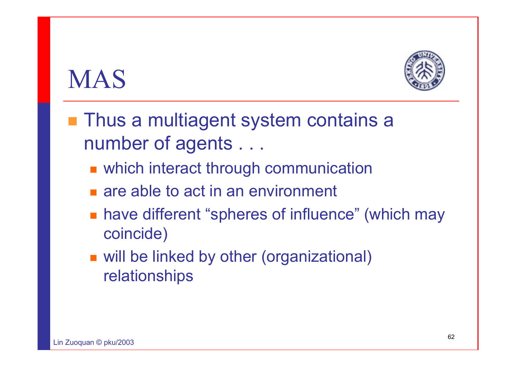## MAS



- Thus a multiagent system contains a number of agents . . .
	- **Now which interact through communication**
	- **Example 10 act in an environment**
	- have different "spheres of influence" (which may coincide)
	- will be linked by other (organizational) relationships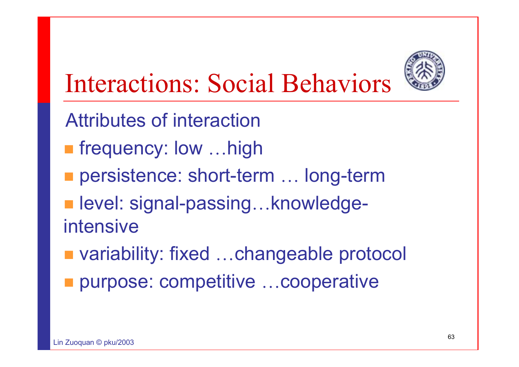

# Interactions: Social Behaviors

- Attributes of interaction
- **Filte frequency: low ...high**
- persistence: short-term ... long-term
- level: signal-passing...knowledgeintensive
- variability: fixed ...changeable protocol
- purpose: competitive …cooperative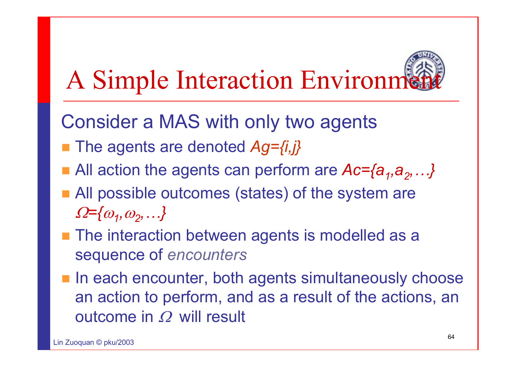# A Simple Interaction Environm

- Consider a MAS with only two agents
- The agents are denoted *Ag={i,j}*
- **All** action the agents can perform are  $Ac = \{a_1, a_2, ...\}$
- All possible outcomes (states) of the system are <sup>Ω</sup>*={*<sup>ω</sup>*1,*<sup>ω</sup>*2,…}*
- The interaction between agents is modelled as a sequence of *encounters*
- **In each encounter, both agents simultaneously choose** an action to perform, and as a result of the actions, an outcome in  $\varOmega$  will result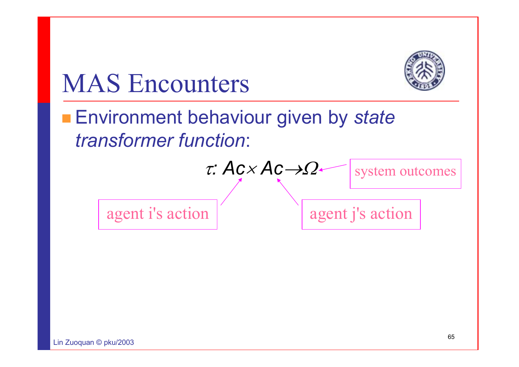

## MAS Encounters

### ■ Environment behaviour given by *state transformer function*:

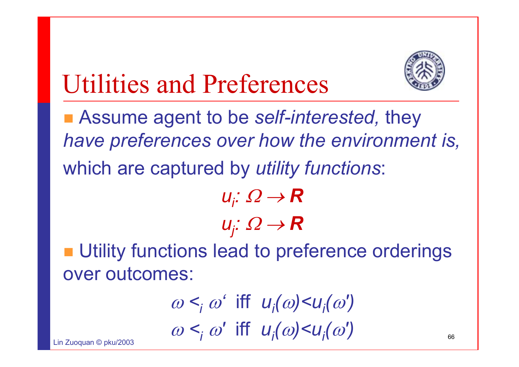

# Utilities and Preferences

 Assume agent to be *self-interested,* they *have preferences over how the environment is,* which are captured by *utility functions*:

 $u<sub>i</sub>: Ω → R$  $u_j$ : Ω → **R** 

**■ Utility functions lead to preference orderings** over outcomes:

$$
\omega <_{i} \omega' \text{ iff } u_{i}(\omega) < u_{i}(\omega')
$$
  

$$
\omega <_{i} \omega' \text{ iff } u_{i}(\omega) < u_{i}(\omega')
$$

 $L: \mathbb{Z} \longrightarrow \mathbb{Z}$  and  $R$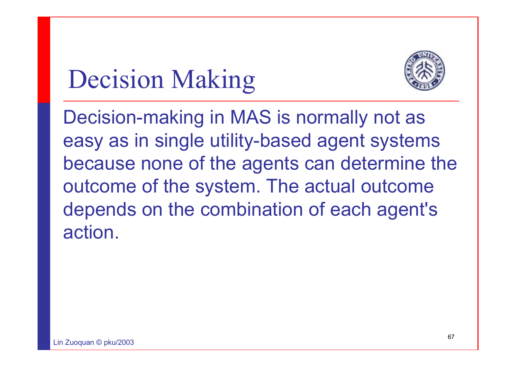# Decision Making



Decision-making in MAS is normally not as easy as in single utility-based agent systems because none of the agents can determine the outcome of the system. The actual outcome depends on the combination of each agent's action.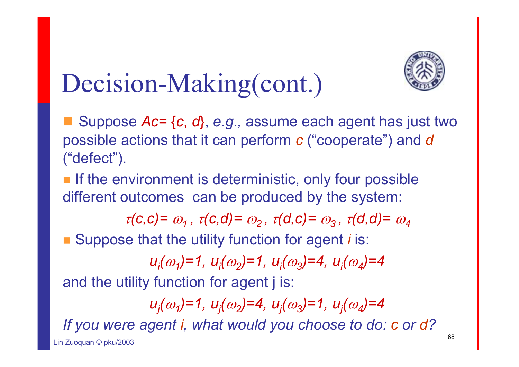

# Decision-Making(cont.)

 Suppose *Ac=* {*<sup>c</sup>*, *d*}, *e.g.,* assume each agent has just two possible actions that it can perform *<sup>c</sup>* ("cooperate") and *d* ("defect").

**If the environment is deterministic, only four possible** different outcomes can be produced by the system:

 $\tau(c,c) = \omega_1$ ,  $\tau(c,d) = \omega_2$ ,  $\tau(d,c) = \omega_3$ ,  $\tau(d,d) = \omega_4$ 

■ Suppose that the utility function for agent *i* is:

 $u_i(\omega_1)=1$ ,  $u_i(\omega_2)=1$ ,  $u_i(\omega_3)=4$ ,  $u_i(\omega_4)=4$ 

and the utility function for agent j is:

*uj(*ω*1)=1, uj(*ω*2)=4, uj(*ω*3)=1, uj(*ω*4)=4 If you were agent i, what would you choose to do: c or d?*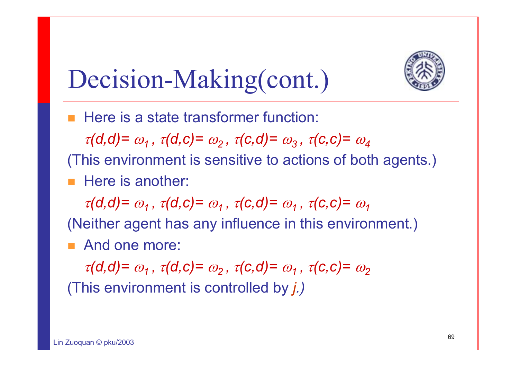

# Decision-Making(cont.)

**Here is a state transformer function:** 

 $\tau(d,d) = \omega_1$ ,  $\tau(d,c) = \omega_2$ ,  $\tau(c,d) = \omega_3$ ,  $\tau(c,c) = \omega_4$ 

(This environment is sensitive to actions of both agents.) Here is another:

 $\tau(d,d) = \omega_1$ ,  $\tau(d,c) = \omega_1$ ,  $\tau(c,d) = \omega_1$ ,  $\tau(c,c) = \omega_1$ 

(Neither agent has any influence in this environment.)

**And one more:** 

 $\tau(d,d) = \omega_1$ ,  $\tau(d,c) = \omega_2$ ,  $\tau(c,d) = \omega_1$ ,  $\tau(c,c) = \omega_2$ 

(This environment is controlled by *j.)*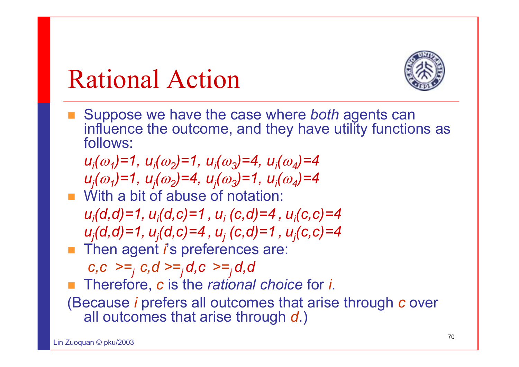# Rational Action



■ Suppose we have the case where *both* agents can influence the outcome, and they have utility functions as follows:

*u<sub>i</sub>*( $\omega_1$ )=1, *u<sub>i</sub>*( $\omega_2$ )=1, *u<sub>i</sub>*( $\omega_3$ )=4, *u<sub>i</sub>*( $\omega_4$ )=4 *uj(*ω*1)=1, uj(*ω*2)=4, uj(*ω*3)=1, ui(*ω*4)=4*

- **Notable 1 With a bit of abuse of notation:** *ui(d,d)=1, ui(d,c)=1 , ui (c,d)=4 , ui(c,c)=4 uj(d,d)=1, uj(d,c)=4 , uj (c,d)=1 , uj(c,c)=4*
- **Then agent** *i***'s preferences are:**

 $c, c \geq f, c, d \geq f, d, c \geq f, d, d$ 

- Therefore, *<sup>c</sup>* is the *rational choice* for *i*.
- (Because *i* prefers all outcomes that arise through *<sup>c</sup>* over all outcomes that arise through *d*.)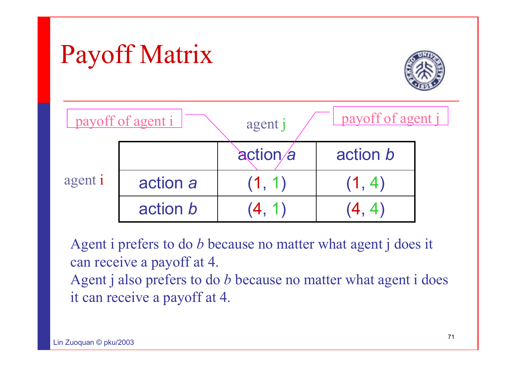# Payoff Matrix





Agent i prefers to do *b* because no matter what agent j does it can receive a payoff at 4.

Agent j also prefers to do *b* because no matter what agent i does it can receive a payoff at 4.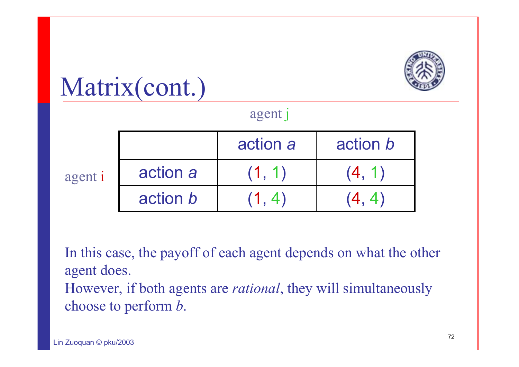

### agent j

| agent i |          | action a | action b |
|---------|----------|----------|----------|
|         | action a | (1, 1)   | (4, 1)   |
|         | action b |          | <b>4</b> |

In this case, the payoff of each agent depends on what the other agent does. However, if both agents are *rational*, they will simultaneously choose to perform *b*.

Matrix(cont.)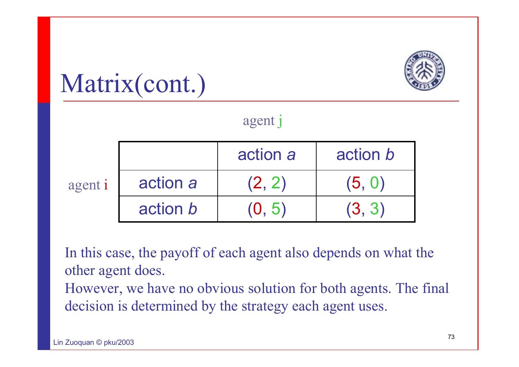

#### agent j

|         |                 | action a | action b |
|---------|-----------------|----------|----------|
| agent i | action a        | (2, 2)   | (5, 0)   |
|         | action <i>b</i> | 0.5      | (3, 3)   |

In this case, the payoff of each agent also depends on what the other agent does.

However, we have no obvious solution for both agents. The final decision is determined by the strategy each agent uses.

Matrix(cont.)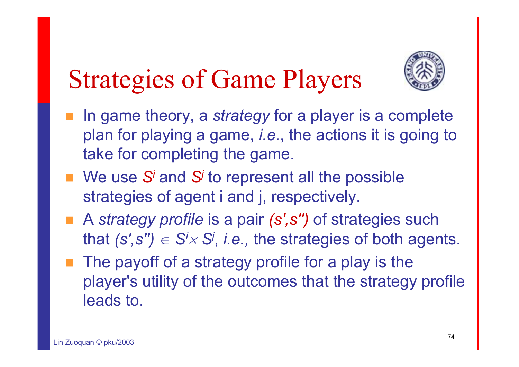

### Strategies of Game Players

- In game theory, a *strategy* for a player is a complete plan for playing a game, *i.e.*, the actions it is going to take for completing the game.
- We use S<sup>*i*</sup> and S<sup>*i*</sup> to represent all the possible strategies of agent *i* and *j*, respectively.
- A *strategy profile* is a pair (s',s'') of strategies such that  $(s', s'') \in S' \times S'$ , *i.e.*, the strategies of both agents.
- $\blacksquare$  The payoff of a strategy profile for a play is the player's utility of the outcomes that the strategy profile leads to.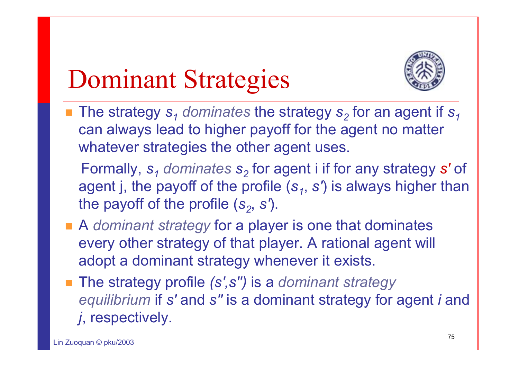## Dominant Strategies



- $\blacksquare$  The strategy  $\mathbf{s}_1$  *dominates* the strategy  $\mathbf{s}_2$  for an agent if  $\mathbf{s}_1$ can always lead to higher payoff for the agent no matter whatever strategies the other agent uses.
	- Formally, *s1 dominates s2* for agent i if for any strategy *s'* of agent j, the payoff of the profile  $(s_1, s')$  is always higher than the payoff of the profile  $(s_2, s')$ .
- A *dominant strategy* for a player is one that dominates every other strategy of that player. A rational agent will adopt a dominant strategy whenever it exists.
- The strategy profile (s',s'') is a *dominant strategy equilibrium* if *s'* and *<sup>s</sup>''* is a dominant strategy for agent *i* and *j*, respectively.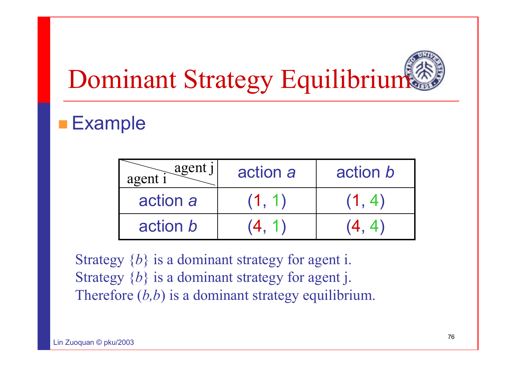# Dominant Strategy Equilibrium

### **Example**

| agent j<br>agent | action a | action b |
|------------------|----------|----------|
| action a         | (1, 1)   | (1, 4)   |
| action b         | (4, 1)   | (4, 4)   |

Strategy  $\{b\}$  is a dominant strategy for agent i. Strategy  $\{b\}$  is a dominant strategy for agent j. Therefore  $(b,b)$  is a dominant strategy equilibrium.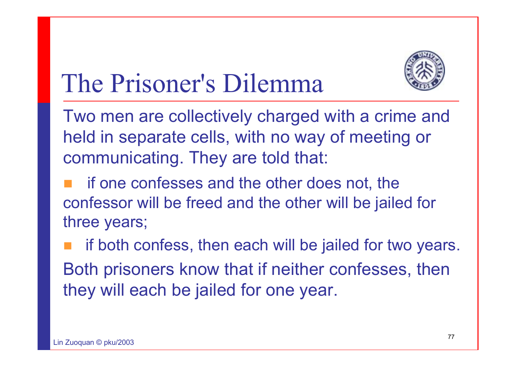

### The Prisoner's Dilemma

Two men are collectively charged with a crime and held in separate cells, with no way of meeting or communicating. They are told that:

 if one confesses and the other does not, the confessor will be freed and the other will be jailed for three years;

 if both confess, then each will be jailed for two years. Both prisoners know that if neither confesses, then they will each be jailed for one year.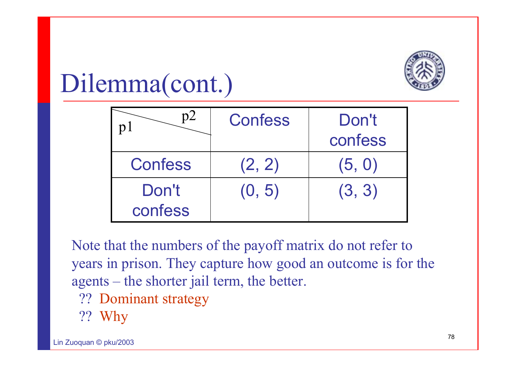

### Dilemma(cont.)

|                  | Confess | Don't<br>confess |
|------------------|---------|------------------|
| <b>Confess</b>   | (2, 2)  | (5, 0)           |
| Don't<br>confess | (0, 5)  | (3, 3)           |

Note that the numbers of the payoff matrix do not refer to years in prison. They capture how good an outcome is for the agents – the shorter jail term, the better.

- ?? Dominant strategy
- ?? Why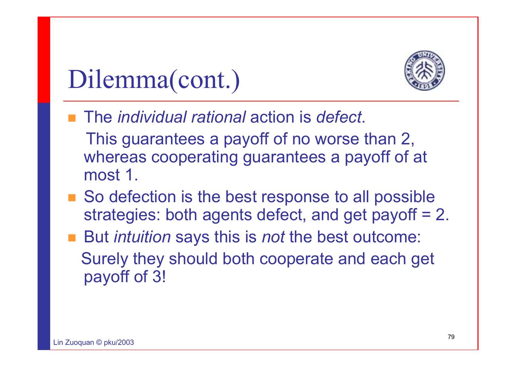

### Dilemma(cont.)

■ The *individual rational* action is *defect*.

This guarantees a payoff of no worse than 2, whereas cooperating guarantees a payoff of at most 1.

- So defection is the best response to all possible strategies: both agents defect, and get payoff = 2.
- But *intuition* says this is *not* the best outcome: Surely they should both cooperate and each get payoff of 3!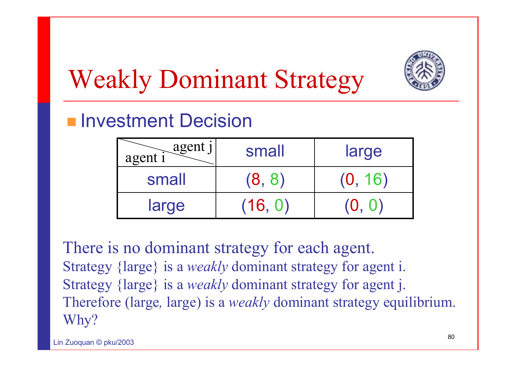

## Weakly Dominant Strategy

### **Investment Decision**

| agent j<br>agent i | small   | large   |
|--------------------|---------|---------|
| small              | (8, 8)  | (0, 16) |
| large              | (16, 0) | (O.     |

There is no dominant strategy for each agent. Strategy {large} is a *weakly* dominant strategy for agent i. Strategy {large} is a *weakly* dominant strategy for agent j. Therefore (large*,* large) is a *weakly* dominant strategy equilibrium. Why?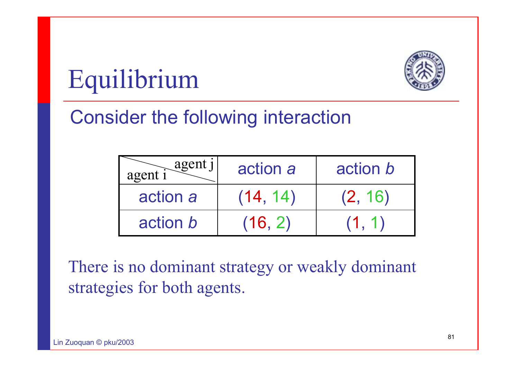



### Consider the following interaction

| agent j<br>$agent$ <sup>1</sup> | action a | action b |
|---------------------------------|----------|----------|
| action a                        | (14, 14) | (2, 16)  |
| action b                        | (16, 2)  | (1, 1)   |

There is no dominant strategy or weakly dominant strategies for both agents.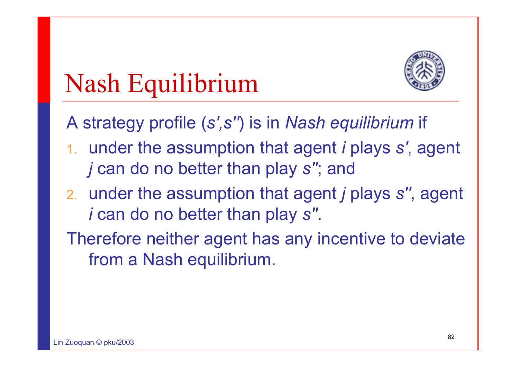

### Nash Equilibrium

A strategy profile (*s',s''*) is in *Nash equilibrium* if

- 1. under the assumption that agent *i* plays *s'*, agent *j* can do no better than play *s''*; and
- 2. under the assumption that agent *j* plays *s''*, agent *i* can do no better than play *s''*.
- Therefore neither agent has any incentive to deviate from a Nash equilibrium.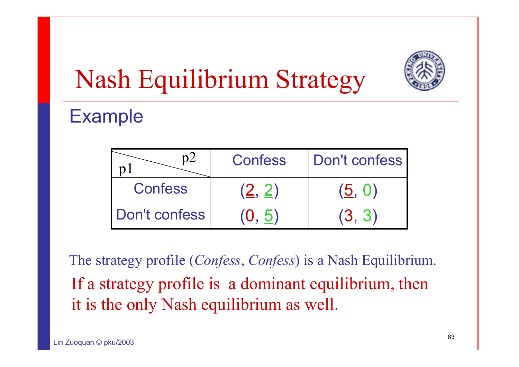

## Nash Equilibrium Strategy

### Example

|                | Confess | Don't confess |
|----------------|---------|---------------|
| <b>Confess</b> | (2, 2)  | (5, 0)        |
| Don't confess  | (0, 5)  | (3, 3)        |

The strategy profile (*Confess*, *Confess*) is a Nash Equilibrium. If a strategy profile is a dominant equilibrium, then it is the only Nash equilibrium as well.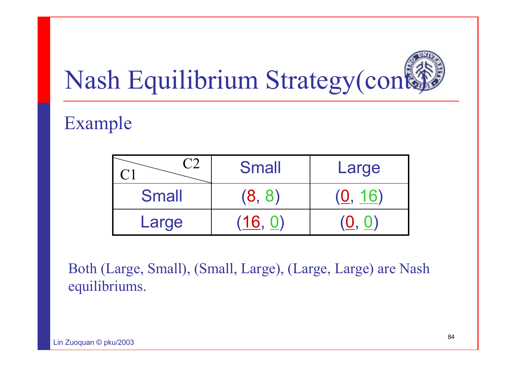

### Example

|              | <b>Small</b> | Large   |
|--------------|--------------|---------|
| <b>Small</b> | (8, 8)       | (0, 16) |
| Large        | (16, 0)      |         |

Both (Large, Small), (Small, Large), (Large, Large) are Nash equilibriums.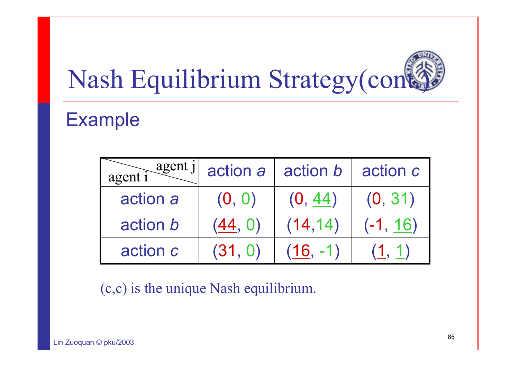# Nash Equilibrium Strategy(cont

### Example

| agent j<br>agent |         | action $a \mid \text{action } b$ | action c   |
|------------------|---------|----------------------------------|------------|
| action a         | (0, 0)  | (0, 44)                          | (0, 31)    |
| action <i>b</i>  | (44, 0) | (14, 14)                         | $(-1, 16)$ |
| action c         | (31, 0) | $(16, -1)$                       | (1, 1)     |

(c,c) is the unique Nash equilibrium.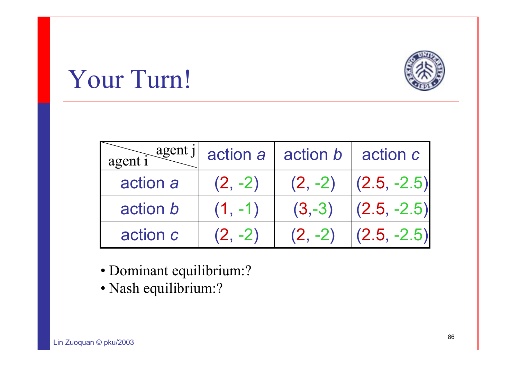### Your Turn!

| agent    |           | $\frac{a$ gent j action a action b action c |                         |
|----------|-----------|---------------------------------------------|-------------------------|
| action a | $(2, -2)$ |                                             | $(2, -2)$ $(2.5, -2.5)$ |
| action b | $(1, -1)$ | $(3,-3)$                                    | $(2.5, -2.5)$           |
| action c | $(2, -2)$ | $(2, -2)$                                   | $ (2.5, -2.5) $         |

- Dominant equilibrium:?
- Nash equilibrium:?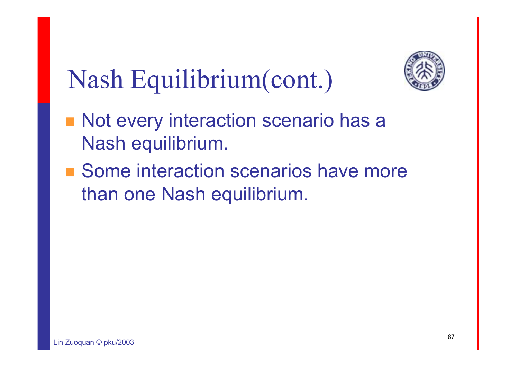

## Nash Equilibrium(cont.)

- Not every interaction scenario has a Nash equilibrium.
- Some interaction scenarios have more than one Nash equilibrium.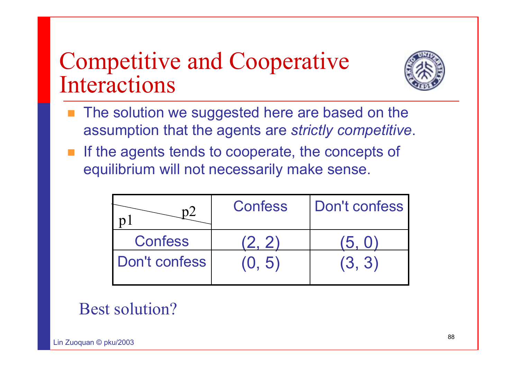### Competitive and Cooperative Interactions



- F. The solution we suggested here are based on the assumption that the agents are *strictly competitive*.
- If the agents tends to cooperate, the concepts of equilibrium will not necessarily make sense.

|                | <b>Confess</b> | Don't confess |
|----------------|----------------|---------------|
| <b>Confess</b> | (2, 2)         | (5, 0)        |
| Don't confess  | (0, 5)         | (3, 3)        |

### Best solution?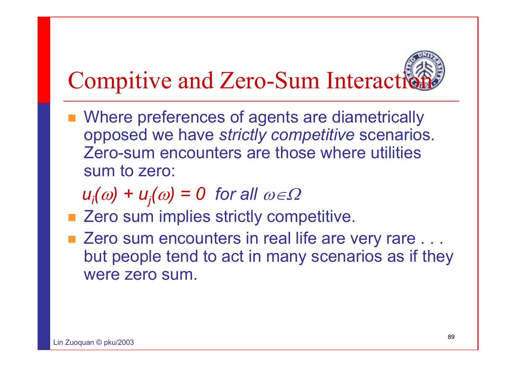## Compitive and Zero-Sum Interaction

- **Number 19 Alle 10 Ferror Preferences of agents are diametrically and Munitizally** opposed we have *strictly competitive* scenarios. Zero-sum encounters are those where utilities sum to zero:
	- $u_i(\omega) + u_i(\omega) = 0$  for all  $\omega \in \Omega$
- Zero sum implies strictly competitive.
- Zero sum encounters in real life are very rare . . . but people tend to act in many scenarios as if they were zero sum.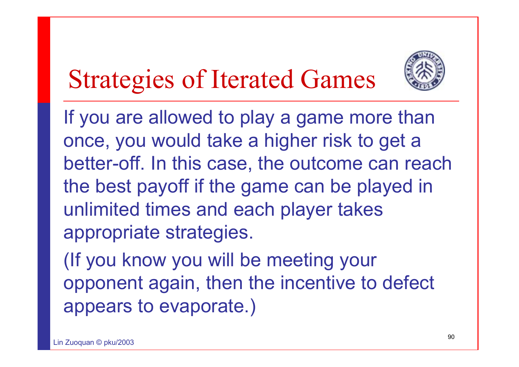

### Strategies of Iterated Games

If you are allowed to play a game more than once, you would take a higher risk to get a better-off. In this case, the outcome can reach the best payoff if the game can be played in unlimited times and each player takes appropriate strategies.

(If you know you will be meeting your opponent again, then the incentive to defect appears to evaporate.)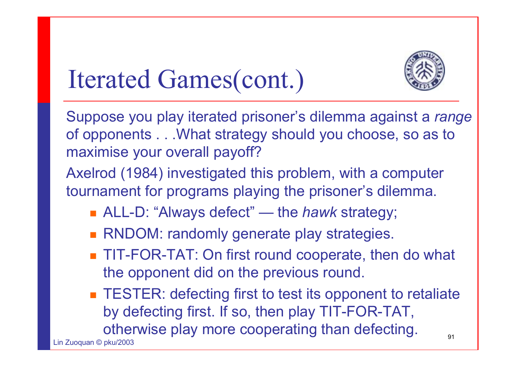

### Iterated Games(cont.)

Suppose you play iterated prisoner's dilemma against a *range*  of opponents . . .What strategy should you choose, so as to maximise your overall payoff?

Axelrod (1984) investigated this problem, with a computer tournament for programs playing the prisoner's dilemma.

- ALL-D: "Always defect" the *hawk* strategy;
- **RNDOM: randomly generate play strategies.**
- TIT-FOR-TAT: On first round cooperate, then do what the opponent did on the previous round.

91**TESTER: defecting first to test its opponent to retaliate** by defecting first. If so, then play TIT-FOR-TAT, otherwise play more cooperating than defecting.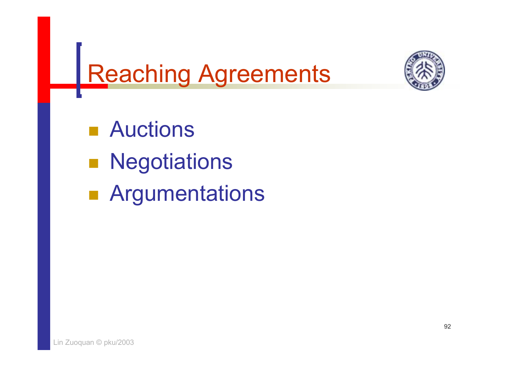

## Reaching Agreements

■ Auctions

- $\mathbb{R}^3$ **Negotiations**
- i<br>List **Rangumentations**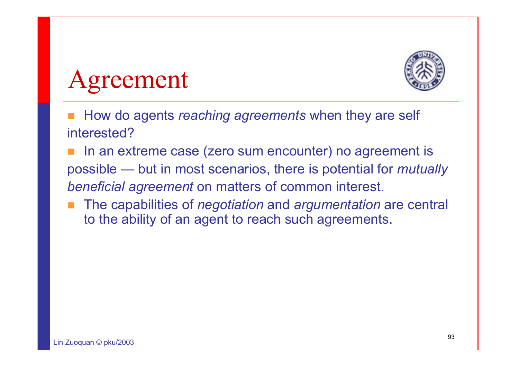

Agreement

- П How do agents *reaching agreements* when they are self interested?
- In an extreme case (zero sum encounter) no agreement is possible — but in most scenarios, there is potential for *mutually beneficial agreement* on matters of common interest.
- The capabilities of *negotiation* and *argumentation* are central to the ability of an agent to reach such agreements.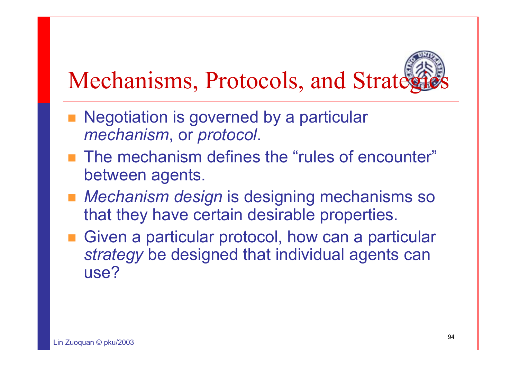## Mechanisms, Protocols, and Strate,

- Negotiation is governed by a particular *mechanism*, or *protocol*.
- **The mechanism defines the "rules of encounter"** between agents.
- Mechanism design is designing mechanisms so that they have certain desirable properties.
- Given a particular protocol, how can a particular *strategy* be designed that individual agents can use?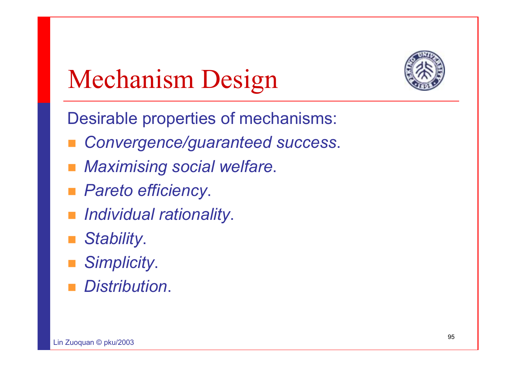

## Mechanism Design

Desirable properties of mechanisms:

- *Convergence/guaranteed success*.
- *Maximising social welfare*.
- *Pareto efficiency*.
- *Individual rationality*.
- *Stability*.
- *Simplicity*.
- *Distribution*.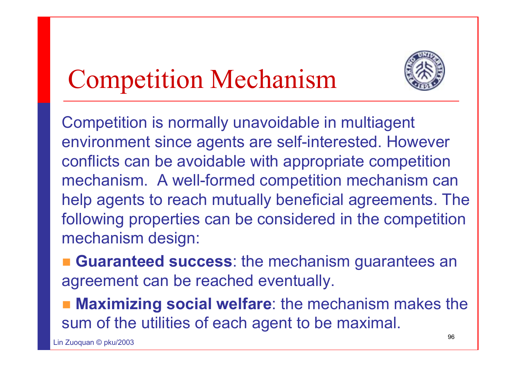## Competition Mechanism



Competition is normally unavoidable in multiagent environment since agents are self-interested. However conflicts can be avoidable with appropriate competition mechanism. A well-formed competition mechanism can help agents to reach mutually beneficial agreements. The following properties can be considered in the competition mechanism design:

 **Guaranteed success**: the mechanism guarantees an agreement can be reached eventually.

 **Maximizing social welfare**: the mechanism makes the sum of the utilities of each agent to be maximal.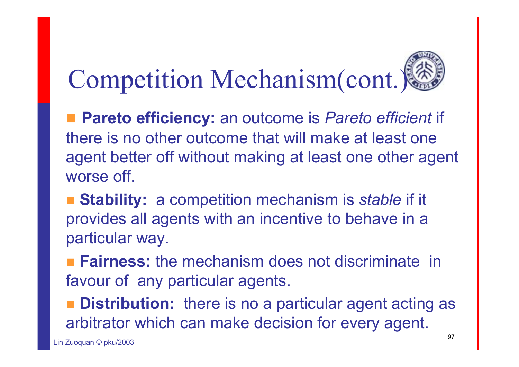## Competition Mechanism(cont.)

■ Pareto efficiency: an outcome is Pareto efficient if there is no other outcome that will make at least one agent better off without making at least one other agent worse off.

- **Stability:** a competition mechanism is *stable* if it provides all agents with an incentive to behave in a particular way.
- **Fairness:** the mechanism does not discriminate in favour of any particular agents.
- **Distribution:** there is no a particular agent acting as arbitrator which can make decision for every agent.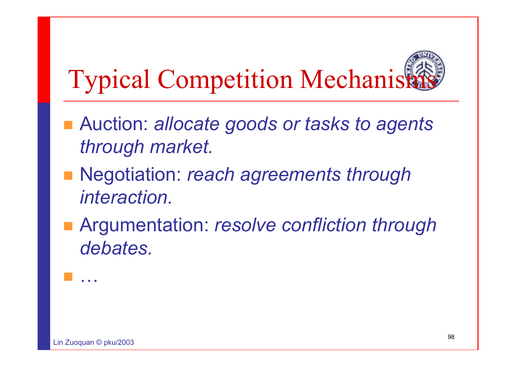## **Typical Competition Mechanism**

- Auction: *allocate goods or tasks to agents through market.*
- Negotiation: *reach agreements through interaction.*
- Argumentation: *resolve confliction through debates.*

…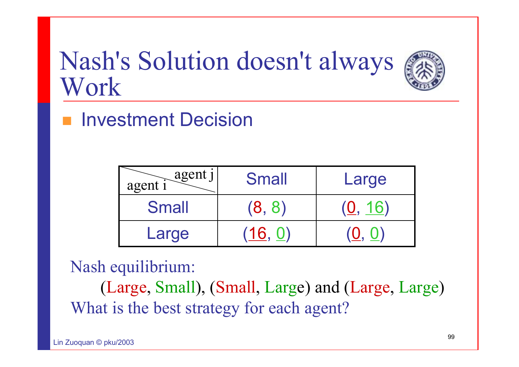### Nash's Solution doesn't always Work



Investment Decision

| agent j<br>agent i | <b>Small</b> | Large            |
|--------------------|--------------|------------------|
| <b>Small</b>       | (8, 8)       | ( <u>U</u> , 16) |
| Large              | (16.0)       | (Q. Q)           |

Nash equilibrium:

(Large, Small), (Small, Large) and (Large, Large) What is the best strategy for each agent?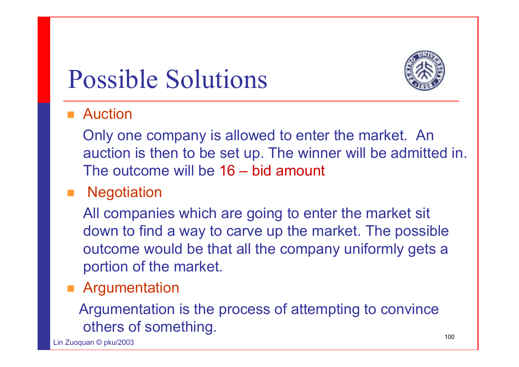### Possible Solutions



### ■ Auction

Only one company is allowed to enter the market. An auction is then to be set up. The winner will be admitted in. The outcome will be 16 – bid amount

### **Negotiation**

All companies which are going to enter the market sit down to find a way to carve up the market. The possible outcome would be that all the company uniformly gets a portion of the market.

#### **Rangumentation**

#### Argumentation is the process of attempting to convince others of something.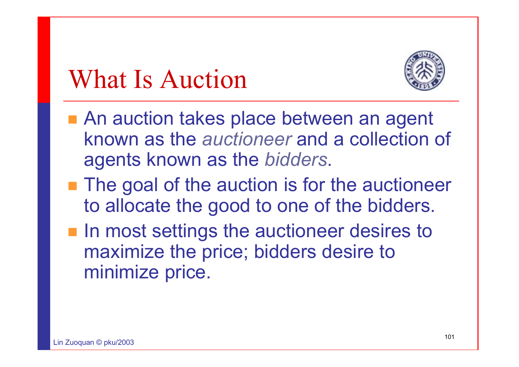### What Is Auction



- An auction takes place between an agent known as the *auctioneer* and a collection of agents known as the *bidders*.
- **The goal of the auction is for the auctioneer** to allocate the good to one of the bidders.
- $\blacksquare$  In most settings the auctioneer desires to maximize the price; bidders desire to minimize price.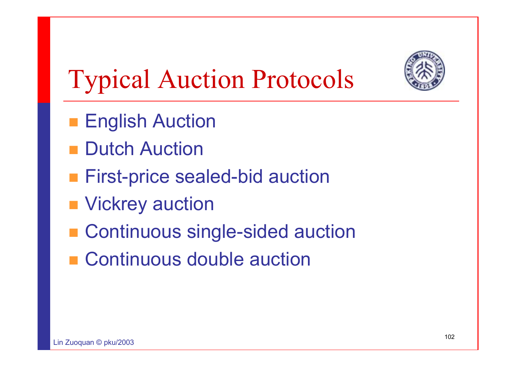

## Typical Auction Protocols

- **English Auction**
- Dutch Auction
- **First-price sealed-bid auction**
- Vickrey auction
- Continuous single-sided auction
- Continuous double auction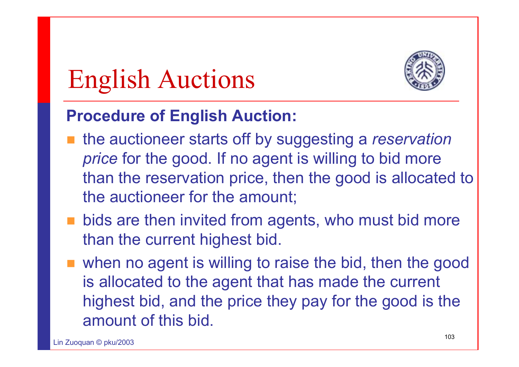## English Auctions



### **Procedure of English Auction:**

- the auctioneer starts off by suggesting a *reservation price* for the good. If no agent is willing to bid more than the reservation price, then the good is allocated to the auctioneer for the amount;
- **Dids are then invited from agents, who must bid more** than the current highest bid.
- when no agent is willing to raise the bid, then the good is allocated to the agent that has made the current highest bid, and the price they pay for the good is the amount of this bid.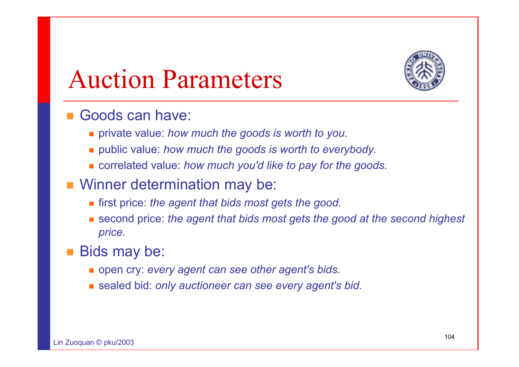

### Auction Parameters

#### ■ Goods can have:

- private value: *how much the goods is worth to you.*
- public value: *how much the goods is worth to everybody.*
- correlated value: *how much you'd like to pay for the goods.*
- **Ninner determination may be:** 
	- first price: *the agent that bids most gets the good.*
	- second price: *the agent that bids most gets the good at the second highest price.*

#### $\Box$ Bids may be:

- open cry: *every agent can see other agent's bids.*
- sealed bid: *only auctioneer can see every agent's bid.*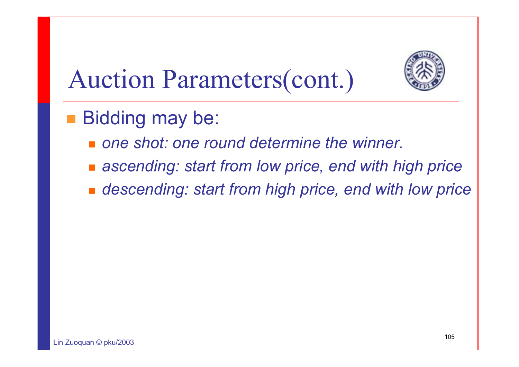

## Auction Parameters(cont.)

- **Bidding may be:** 
	- *one shot: one round determine the winner.*
	- *ascending: start from low price, end with high price*
	- *descending: start from high price, end with low price*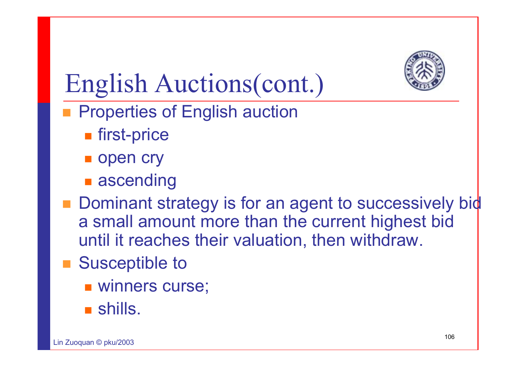

## English Auctions(cont.)

- **Properties of English auction** 
	- **n** first-price
	- open cry
	- **ascending**
- $\blacksquare$  Dominant strategy is for an agent to successively b a small amount more than the current highest bid until it reaches their valuation, then withdraw.
- Susceptible to
	- winners curse;
	- shills.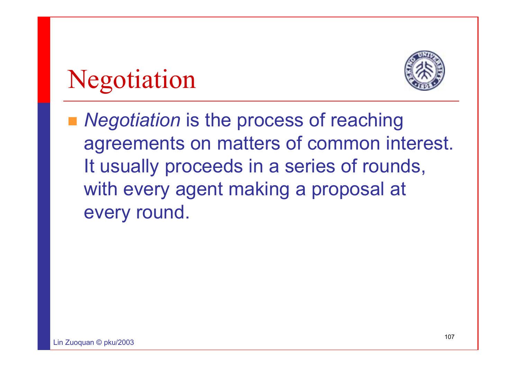## Negotiation



■ *Negotiation* is the process of reaching agreements on matters of common interest. It usually proceeds in a series of rounds, with every agent making a proposal at every round.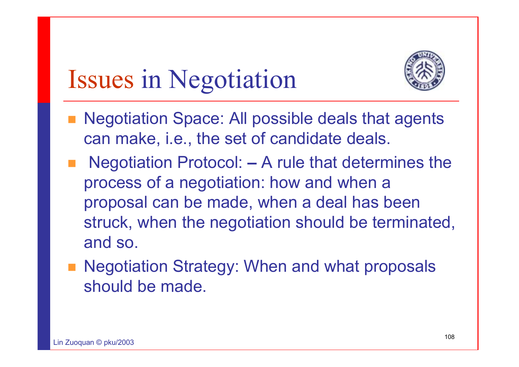

### Issues in Negotiation

- **Negotiation Space: All possible deals that agents** can make, i.e., the set of candidate deals.
- Negotiation Protocol: **–** A rule that determines the process of a negotiation: how and when a proposal can be made, when a deal has been struck, when the negotiation should be terminated, and so.
- **Negotiation Strategy: When and what proposals** should be made.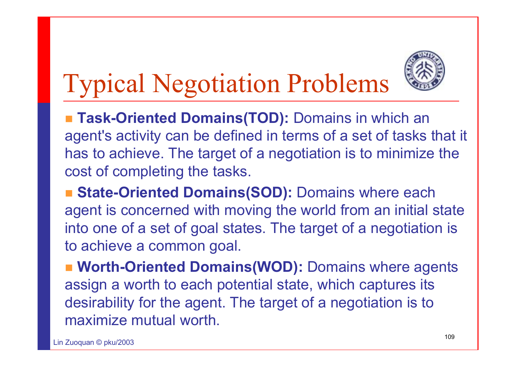

## Typical Negotiation Problems

■ Task-Oriented Domains(TOD): Domains in which an agent's activity can be defined in terms of a set of tasks that it has to achieve. The target of a negotiation is to minimize the cost of completing the tasks.

**State-Oriented Domains(SOD): Domains where each Lines** agent is concerned with moving the world from an initial state into one of a set of goal states. The target of a negotiation is to achieve a common goal.

 **Worth-Oriented Domains(WOD):** Domains where agents assign a worth to each potential state, which captures its desirability for the agent. The target of a negotiation is to maximize mutual worth.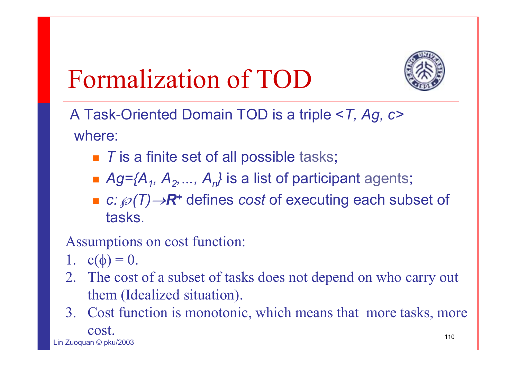## Formalization of TOD



A Task-Oriented Domain TOD is a triple <*T, Ag, c>* where:

- *T* is a finite set of all possible tasks;
- *Ag={A<sub>1</sub>, A<sub>2</sub>, ..., A<sub>n</sub>}* is a list of participant agents;
- *c:*℘*(T)*→*R+* defines *cost* of executing each subset of tasks.

Assumptions on cost function:

- 1.  $c(\phi) = 0$ .
- 2. The cost of a subset of tasks does not depend on who carry out them (Idealized situation).
- 110 $L: \mathbb{Z} \longrightarrow \mathbb{Z}$  and  $R$ 3. Cost function is monotonic, which means that more tasks, more cost.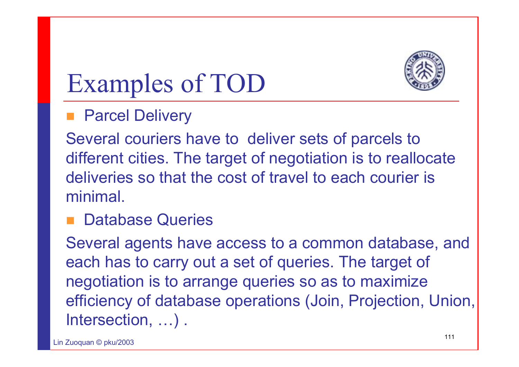

## Examples of TOD

#### **Parcel Delivery**

Several couriers have to deliver sets of parcels to different cities. The target of negotiation is to reallocate deliveries so that the cost of travel to each courier is minimal.

#### **Database Queries**

Several agents have access to a common database, and each has to carry out a set of queries. The target of negotiation is to arrange queries so as to maximize efficiency of database operations (Join, Projection, Union, Intersection, …) .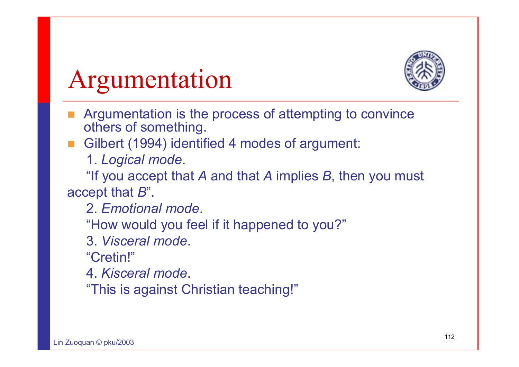

#### Argumentation

- Argumentation is the process of attempting to convince others of something.
- Gilbert (1994) identified 4 modes of argument:
	- 1. *Logical mode*.

"If you accept that *A* and that *A* implies *B*, then you must accept that *B*".

- 2. *Emotional mode*.
- "How would you feel if it happened to you?"
- 3. *Visceral mode*.
- "Cretin!"
- 4. *Kisceral mode*.
- "This is against Christian teaching!"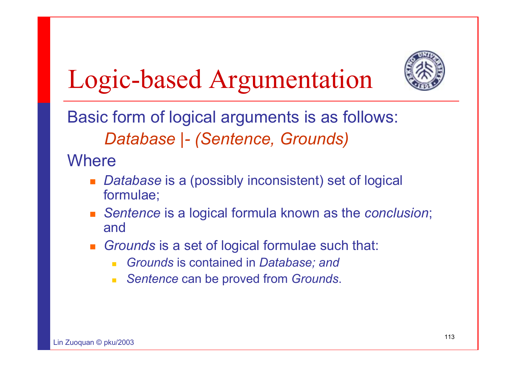## Logic-based Argumentation



Basic form of logical arguments is as follows: *Database |- (Sentence, Grounds)*

**Where** 

- П *Database* is a (possibly inconsistent) set of logical formulae;
- *Sentence* is a logical formula known as the *conclusion*; and
- *Grounds* is a set of logical formulae such that:
	- *Grounds* is contained in *Database; and*
	- $\mathcal{L}_{\text{max}}$ *Sentence* can be proved from *Grounds*.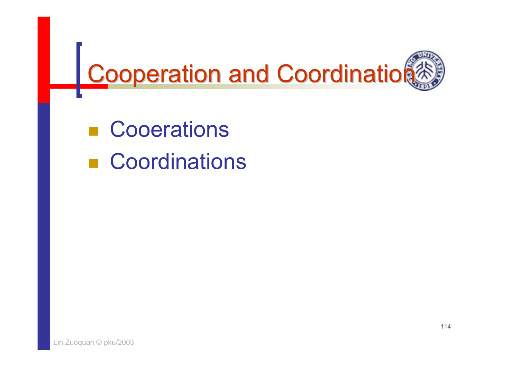

**E** Cooerations pang<br>Pang **Coordinations**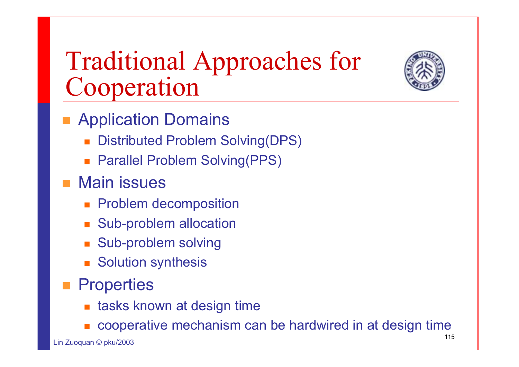#### Traditional Approaches for Cooperation



- **Replication Domains** 
	- П Distributed Problem Solving(DPS)
	- Parallel Problem Solving(PPS)

#### ■ Main issues

- **Problem decomposition**
- **Sub-problem allocation**
- **Sub-problem solving**
- **Solution synthesis**

#### **Properties**

- П tasks known at design time
- П cooperative mechanism can be hardwired in at design time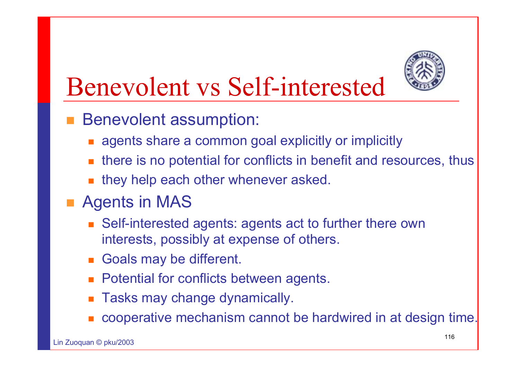

#### Benevolent vs Self-interested

- Benevolent assumption:
	- agents share a common goal explicitly or implicitly
	- $\blacksquare$  there is no potential for conflicts in benefit and resources, thus
	- П they help each other whenever asked.

#### **Agents in MAS**

- Self-interested agents: agents act to further there own interests, possibly at expense of others.
- **Goals may be different.**
- **Potential for conflicts between agents.**
- П Tasks may change dynamically.
- П cooperative mechanism cannot be hardwired in at design time.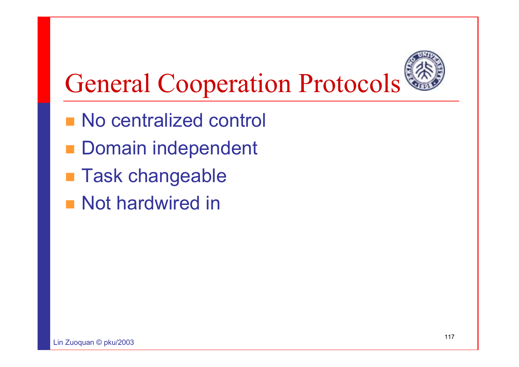

#### General Cooperation Protocols

- **No centralized control**
- **Domain independent**
- **Task changeable**
- **Not hardwired in**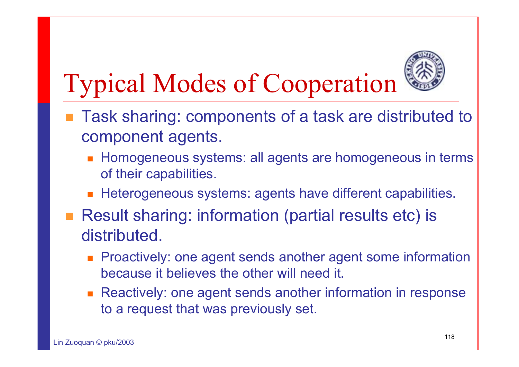

## Typical Modes of Cooperation

- Task sharing: components of a task are distributed to component agents.
	- $\blacksquare$  Homogeneous systems: all agents are homogeneous in term $\mathbf s$ of their capabilities.
	- П Heterogeneous systems: agents have different capabilities.
- Result sharing: information (partial results etc) is distributed.
	- П Proactively: one agent sends another agent some information because it believes the other will need it.
	- Reactively: one agent sends another information in response to a request that was previously set.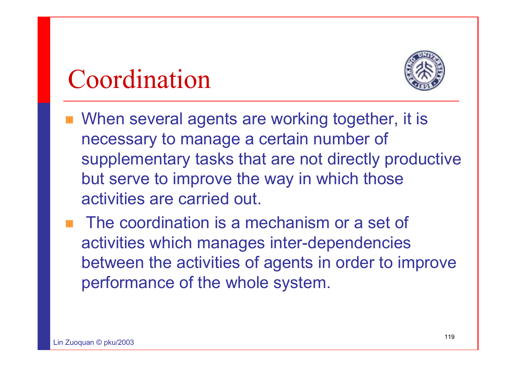#### Coordination



- When several agents are working together, it is necessary to manage a certain number of supplementary tasks that are not directly productive but serve to improve the way in which those activities are carried out.
- **The coordination is a mechanism or a set of** activities which manages inter-dependencies between the activities of agents in order to improve performance of the whole system.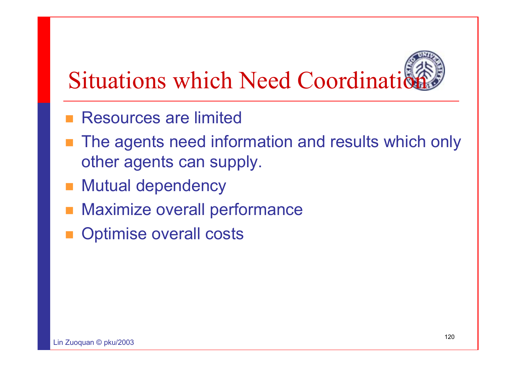# **Situations which Need Coordination**

- **Resources are limited**
- The agents need information and results which only other agents can supply.
- **Nutual dependency**
- Maximize overall performance
- Optimise overall costs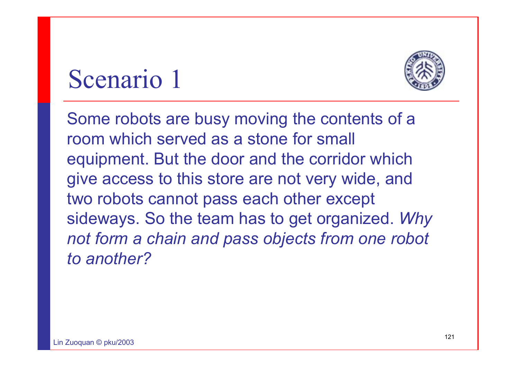#### Scenario 1



Some robots are busy moving the contents of a room which served as a stone for small equipment. But the door and the corridor which give access to this store are not very wide, and two robots cannot pass each other except sideways. So the team has to get organized. *Why not form a chain and pass objects from one robot to another?*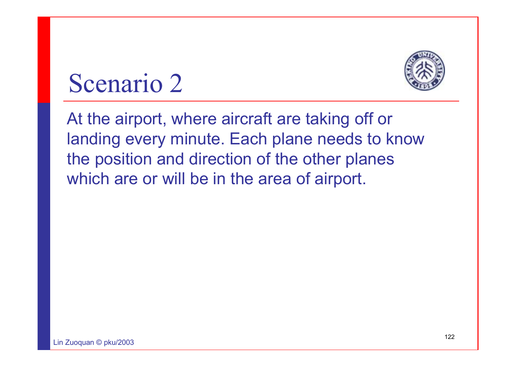

#### Scenario 2

At the airport, where aircraft are taking off or landing every minute. Each plane needs to know the position and direction of the other planes which are or will be in the area of airport.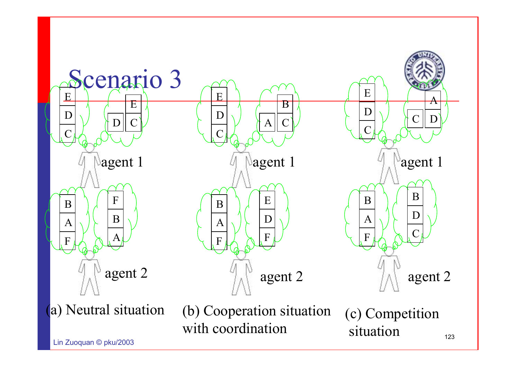

 $\overline{a}$   $\overline{b}$   $\overline{c}$   $\overline{c}$   $\overline{c}$   $\overline{c}$   $\overline{c}$   $\overline{c}$   $\overline{c}$   $\overline{c}$   $\overline{c}$   $\overline{c}$   $\overline{c}$   $\overline{c}$   $\overline{c}$   $\overline{c}$   $\overline{c}$   $\overline{c}$   $\overline{c}$   $\overline{c}$   $\overline{c}$   $\overline{c}$   $\overline{c}$   $\overline{c}$   $\overline{$ 

123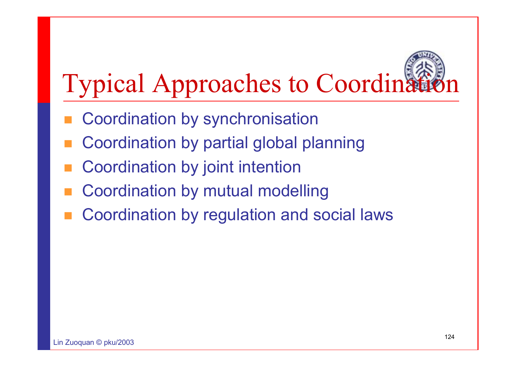## **Typical Approaches to Coordinat**

- Coordination by synchronisation
- Coordination by partial global planning
- Coordination by joint intention
- Coordination by mutual modelling
- Coordination by regulation and social laws